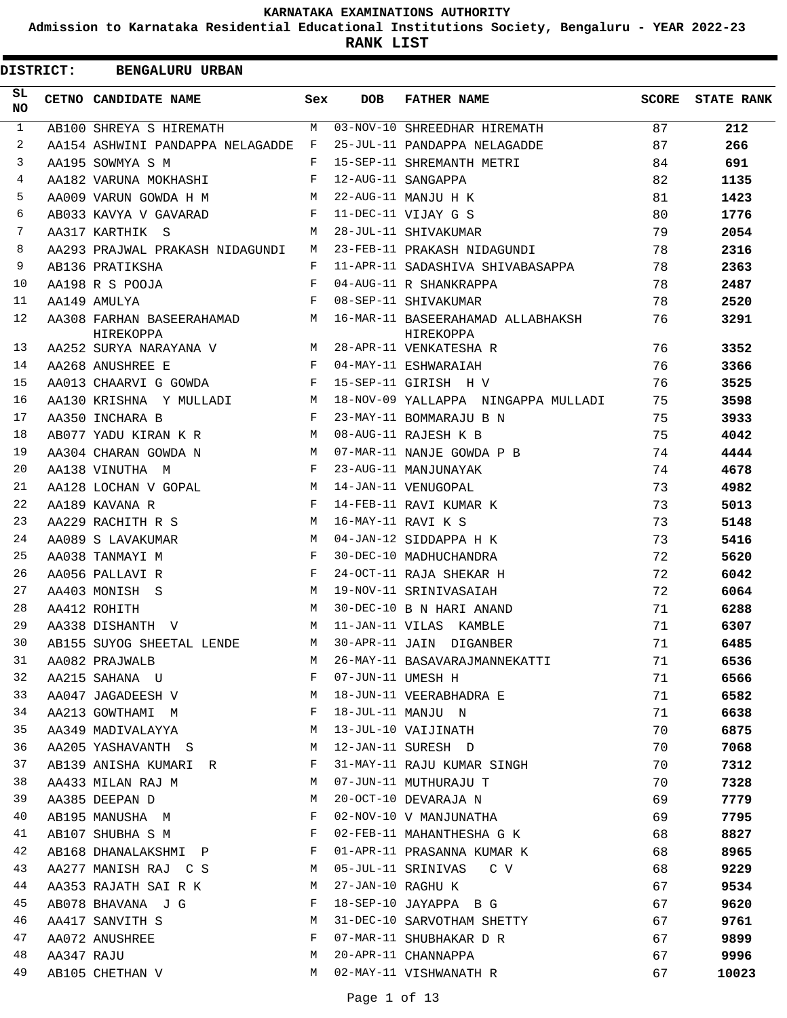**Admission to Karnataka Residential Educational Institutions Society, Bengaluru - YEAR 2022-23**

| <b>DISTRICT:</b> |            | <b>BENGALURU URBAN</b>                   |              |                    |                                                |       |                   |
|------------------|------------|------------------------------------------|--------------|--------------------|------------------------------------------------|-------|-------------------|
| SL<br>NO         |            | CETNO CANDIDATE NAME                     | Sex          | <b>DOB</b>         | <b>FATHER NAME</b>                             | SCORE | <b>STATE RANK</b> |
| $\mathbf{1}$     |            | AB100 SHREYA S HIREMATH                  | M            |                    | 03-NOV-10 SHREEDHAR HIREMATH                   | 87    | 212               |
| 2                |            | AA154 ASHWINI PANDAPPA NELAGADDE         | F            |                    | 25-JUL-11 PANDAPPA NELAGADDE                   | 87    | 266               |
| 3                |            | AA195 SOWMYA S M                         | F            |                    | 15-SEP-11 SHREMANTH METRI                      | 84    | 691               |
| 4                |            | AA182 VARUNA MOKHASHI                    | $\mathbf{F}$ |                    | 12-AUG-11 SANGAPPA                             | 82    | 1135              |
| 5                |            | AA009 VARUN GOWDA H M                    | М            |                    | 22-AUG-11 MANJU H K                            | 81    | 1423              |
| 6                |            | AB033 KAVYA V GAVARAD                    | F            |                    | 11-DEC-11 VIJAY G S                            | 80    | 1776              |
| 7                |            | AA317 KARTHIK S                          | M            |                    | 28-JUL-11 SHIVAKUMAR                           | 79    | 2054              |
| 8                |            | AA293 PRAJWAL PRAKASH NIDAGUNDI          | M            |                    | 23-FEB-11 PRAKASH NIDAGUNDI                    | 78    | 2316              |
| 9                |            | AB136 PRATIKSHA                          | F            |                    | 11-APR-11 SADASHIVA SHIVABASAPPA               | 78    | 2363              |
| 10               |            | AA198 R S POOJA                          | F            |                    | 04-AUG-11 R SHANKRAPPA                         | 78    | 2487              |
| 11               |            | AA149 AMULYA                             | F            |                    | 08-SEP-11 SHIVAKUMAR                           | 78    | 2520              |
| 12               |            | AA308 FARHAN BASEERAHAMAD M<br>HIREKOPPA |              |                    | 16-MAR-11 BASEERAHAMAD ALLABHAKSH<br>HIREKOPPA | 76    | 3291              |
| 13               |            | AA252 SURYA NARAYANA V                   | M            |                    | 28-APR-11 VENKATESHA R                         | 76    | 3352              |
| 14               |            | AA268 ANUSHREE E                         | $\mathbf{F}$ |                    | 04-MAY-11 ESHWARAIAH                           | 76    | 3366              |
| 15               |            | AA013 CHAARVI G GOWDA                    | F            |                    | 15-SEP-11 GIRISH H V                           | 76    | 3525              |
| 16               |            | AA130 KRISHNA Y MULLADI                  | M            |                    | 18-NOV-09 YALLAPPA NINGAPPA MULLADI            | 75    | 3598              |
| 17               |            | AA350 INCHARA B                          | $\mathbf{F}$ |                    | 23-MAY-11 BOMMARAJU B N                        | 75    | 3933              |
| 18               |            | AB077 YADU KIRAN K R                     | M            |                    | 08-AUG-11 RAJESH K B                           | 75    | 4042              |
| 19               |            | AA304 CHARAN GOWDA N                     | M            |                    | 07-MAR-11 NANJE GOWDA P B                      | 74    | 4444              |
| 20               |            | AA138 VINUTHA M                          | F            |                    | 23-AUG-11 MANJUNAYAK                           | 74    | 4678              |
| 21               |            | AA128 LOCHAN V GOPAL                     | M            |                    | 14-JAN-11 VENUGOPAL                            | 73    | 4982              |
| 22               |            | AA189 KAVANA R                           | F            |                    | 14-FEB-11 RAVI KUMAR K                         | 73    | 5013              |
| 23               |            | AA229 RACHITH R S                        | M            | 16-MAY-11 RAVI K S |                                                | 73    | 5148              |
| 24               |            | AA089 S LAVAKUMAR                        | M            |                    | 04-JAN-12 SIDDAPPA H K                         | 73    | 5416              |
| 25               |            | AA038 TANMAYI M                          | F            |                    | 30-DEC-10 MADHUCHANDRA                         | 72    | 5620              |
| 26               |            | AA056 PALLAVI R                          | F            |                    | 24-OCT-11 RAJA SHEKAR H                        | 72    | 6042              |
| 27               |            | AA403 MONISH S                           | M            |                    | 19-NOV-11 SRINIVASAIAH                         | 72    | 6064              |
| 28               |            | AA412 ROHITH                             | M            |                    | 30-DEC-10 B N HARI ANAND                       | 71    | 6288              |
| 29               |            | AA338 DISHANTH V                         | M            |                    | 11-JAN-11 VILAS KAMBLE                         | 71    | 6307              |
| 30               |            | AB155 SUYOG SHEETAL LENDE                |              |                    | M 30-APR-11 JAIN DIGANBER                      | 71    | 6485              |
| 31               |            | AA082 PRAJWALB                           | М            |                    | 26-MAY-11 BASAVARAJMANNEKATTI                  | 71    | 6536              |
| 32               |            | AA215 SAHANA U                           | F            | 07-JUN-11 UMESH H  |                                                | 71    | 6566              |
| 33               |            | AA047 JAGADEESH V                        | М            |                    | 18-JUN-11 VEERABHADRA E                        | 71    | 6582              |
| 34               |            | AA213 GOWTHAMI M                         | F            |                    | 18-JUL-11 MANJU N                              | 71    | 6638              |
| 35               |            | AA349 MADIVALAYYA                        | М            |                    | 13-JUL-10 VAIJINATH                            | 70    | 6875              |
| 36               |            | AA205 YASHAVANTH S                       | M            |                    | 12-JAN-11 SURESH D                             | 70    | 7068              |
| 37               |            | AB139 ANISHA KUMARI R                    | F            |                    | 31-MAY-11 RAJU KUMAR SINGH                     | 70    | 7312              |
| 38               |            | AA433 MILAN RAJ M                        | М            |                    | 07-JUN-11 MUTHURAJU T                          | 70    | 7328              |
| 39               |            | AA385 DEEPAN D                           | М            |                    | 20-OCT-10 DEVARAJA N                           | 69    | 7779              |
| 40               |            | AB195 MANUSHA M                          | F            |                    | 02-NOV-10 V MANJUNATHA                         | 69    | 7795              |
| 41               |            | AB107 SHUBHA S M                         | F            |                    | 02-FEB-11 MAHANTHESHA G K                      | 68    | 8827              |
| 42               |            | AB168 DHANALAKSHMI P                     | F            |                    | 01-APR-11 PRASANNA KUMAR K                     | 68    | 8965              |
| 43               |            | AA277 MANISH RAJ C S                     | М            |                    | 05-JUL-11 SRINIVAS<br>C V                      | 68    | 9229              |
| 44               |            | AA353 RAJATH SAI R K                     | М            | 27-JAN-10 RAGHU K  |                                                | 67    | 9534              |
| 45               |            | AB078 BHAVANA J G                        | F            |                    | 18-SEP-10 JAYAPPA B G                          | 67    | 9620              |
| 46               |            | AA417 SANVITH S                          | М            |                    | 31-DEC-10 SARVOTHAM SHETTY                     | 67    | 9761              |
| 47               |            | AA072 ANUSHREE                           | F            |                    | 07-MAR-11 SHUBHAKAR D R                        | 67    | 9899              |
| 48               | AA347 RAJU |                                          | М            |                    | 20-APR-11 CHANNAPPA                            | 67    |                   |
| 49               |            |                                          | М            |                    |                                                |       | 9996              |
|                  |            | AB105 CHETHAN V                          |              |                    | 02-MAY-11 VISHWANATH R                         | 67    | 10023             |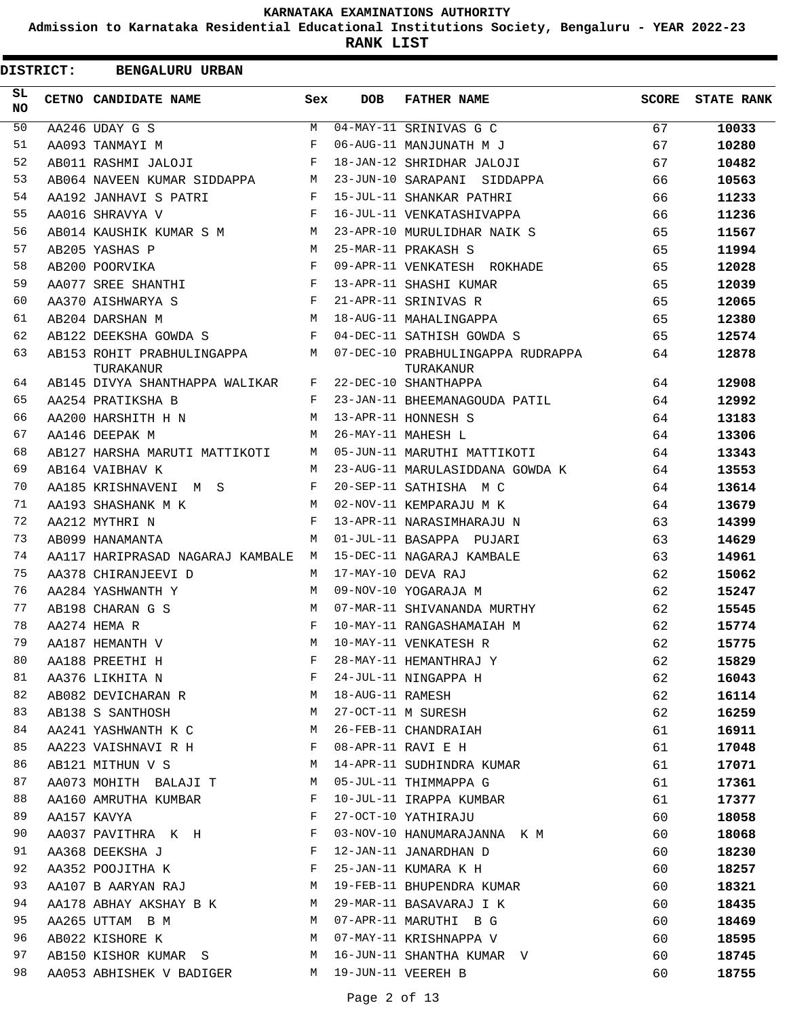**Admission to Karnataka Residential Educational Institutions Society, Bengaluru - YEAR 2022-23**

**RANK LIST**

|                 | <b>DISTRICT:</b> | <b>BENGALURU URBAN</b>                  |            |                  |                                                |              |                   |
|-----------------|------------------|-----------------------------------------|------------|------------------|------------------------------------------------|--------------|-------------------|
| SL<br><b>NO</b> |                  | CETNO CANDIDATE NAME                    | Sex        | <b>DOB</b>       | <b>FATHER NAME</b>                             | <b>SCORE</b> | <b>STATE RANK</b> |
| 50              |                  | AA246 UDAY G S                          | M          |                  | 04-MAY-11 SRINIVAS G C                         | 67           | 10033             |
| 51              |                  | AA093 TANMAYI M                         | F          |                  | 06-AUG-11 MANJUNATH M J                        | 67           | 10280             |
| 52              |                  | AB011 RASHMI JALOJI                     | F          |                  | 18-JAN-12 SHRIDHAR JALOJI                      | 67           | 10482             |
| 53              |                  | AB064 NAVEEN KUMAR SIDDAPPA             | М          |                  | 23-JUN-10 SARAPANI SIDDAPPA                    | 66           | 10563             |
| 54              |                  | AA192 JANHAVI S PATRI                   | F          |                  | 15-JUL-11 SHANKAR PATHRI                       | 66           | 11233             |
| 55              |                  | AA016 SHRAVYA V                         | F          |                  | 16-JUL-11 VENKATASHIVAPPA                      | 66           | 11236             |
| 56              |                  | AB014 KAUSHIK KUMAR S M                 | M          |                  | 23-APR-10 MURULIDHAR NAIK S                    | 65           | 11567             |
| 57              |                  | AB205 YASHAS P                          | M          |                  | 25-MAR-11 PRAKASH S                            | 65           | 11994             |
| 58              |                  | AB200 POORVIKA                          | F          |                  | 09-APR-11 VENKATESH ROKHADE                    | 65           | 12028             |
| 59              |                  | AA077 SREE SHANTHI                      | F          |                  | 13-APR-11 SHASHI KUMAR                         | 65           | 12039             |
| 60              |                  | AA370 AISHWARYA S                       | F          |                  | 21-APR-11 SRINIVAS R                           | 65           | 12065             |
| 61              |                  | AB204 DARSHAN M                         | M          |                  | 18-AUG-11 MAHALINGAPPA                         | 65           | 12380             |
| 62              |                  | AB122 DEEKSHA GOWDA S                   | F          |                  | 04-DEC-11 SATHISH GOWDA S                      | 65           | 12574             |
| 63              |                  | AB153 ROHIT PRABHULINGAPPA<br>TURAKANUR | M          |                  | 07-DEC-10 PRABHULINGAPPA RUDRAPPA<br>TURAKANUR | 64           | 12878             |
| 64              |                  | AB145 DIVYA SHANTHAPPA WALIKAR          | F          |                  | 22-DEC-10 SHANTHAPPA                           | 64           | 12908             |
| 65              |                  | AA254 PRATIKSHA B                       | F          |                  | 23-JAN-11 BHEEMANAGOUDA PATIL                  | 64           | 12992             |
| 66              |                  | AA200 HARSHITH H N                      | M          |                  | 13-APR-11 HONNESH S                            | 64           | 13183             |
| 67              |                  | AA146 DEEPAK M                          | М          |                  | 26-MAY-11 MAHESH L                             | 64           | 13306             |
| 68              |                  | AB127 HARSHA MARUTI MATTIKOTI           | M          |                  | 05-JUN-11 MARUTHI MATTIKOTI                    | 64           | 13343             |
| 69              |                  | AB164 VAIBHAV K                         | M          |                  | 23-AUG-11 MARULASIDDANA GOWDA K                | 64           | 13553             |
| 70              |                  | AA185 KRISHNAVENI M S                   | F          |                  | 20-SEP-11 SATHISHA M C                         | 64           | 13614             |
| 71              |                  | AA193 SHASHANK M K                      | M          |                  | 02-NOV-11 KEMPARAJU M K                        | 64           | 13679             |
| 72              |                  | AA212 MYTHRI N                          | $_{\rm F}$ |                  | 13-APR-11 NARASIMHARAJU N                      | 63           | 14399             |
| 73              |                  | AB099 HANAMANTA                         | M          |                  | 01-JUL-11 BASAPPA PUJARI                       | 63           | 14629             |
| 74              |                  | AA117 HARIPRASAD NAGARAJ KAMBALE        | M          |                  | 15-DEC-11 NAGARAJ KAMBALE                      | 63           | 14961             |
| 75              |                  | AA378 CHIRANJEEVI D                     | M          |                  | 17-MAY-10 DEVA RAJ                             | 62           | 15062             |
| 76              |                  | AA284 YASHWANTH Y                       | M          |                  | 09-NOV-10 YOGARAJA M                           | 62           | 15247             |
| 77              |                  | AB198 CHARAN G S                        | M          |                  | 07-MAR-11 SHIVANANDA MURTHY                    | 62           | 15545             |
| 78              |                  | AA274 HEMA R                            | F          |                  | 10-MAY-11 RANGASHAMAIAH M                      | 62           | 15774             |
| 79              |                  | AA187 HEMANTH V                         | М          |                  | 10-MAY-11 VENKATESH R                          | 62           | 15775             |
| 80              |                  | AA188 PREETHI H                         | F          |                  | 28-MAY-11 HEMANTHRAJ Y                         | 62           | 15829             |
| 81              |                  | AA376 LIKHITA N                         | F          |                  | 24-JUL-11 NINGAPPA H                           | 62           | 16043             |
| 82              |                  | AB082 DEVICHARAN R                      | М          | 18-AUG-11 RAMESH |                                                | 62           | 16114             |
| 83              |                  | AB138 S SANTHOSH                        | M          |                  | 27-OCT-11 M SURESH                             | 62           | 16259             |
| 84              |                  | AA241 YASHWANTH K C                     | M          |                  | 26-FEB-11 CHANDRAIAH                           | 61           | 16911             |
| 85              |                  | AA223 VAISHNAVI R H                     | F          |                  | 08-APR-11 RAVI E H                             | 61           | 17048             |
| 86              |                  | AB121 MITHUN V S                        | М          |                  | 14-APR-11 SUDHINDRA KUMAR                      | 61           | 17071             |
| 87              |                  | AA073 MOHITH BALAJI T                   | М          |                  | 05-JUL-11 THIMMAPPA G                          | 61           | 17361             |
| 88              |                  | AA160 AMRUTHA KUMBAR                    | F          |                  | 10-JUL-11 IRAPPA KUMBAR                        | 61           | 17377             |
| 89              |                  | AA157 KAVYA                             | F          |                  | 27-OCT-10 YATHIRAJU                            | 60           | 18058             |
| 90              |                  | AA037 PAVITHRA K H                      | F          |                  | 03-NOV-10 HANUMARAJANNA K M                    | 60           | 18068             |
| 91              |                  | AA368 DEEKSHA J                         | F          |                  | 12-JAN-11 JANARDHAN D                          | 60           | 18230             |
| 92              |                  | AA352 POOJITHA K                        | F          |                  | 25-JAN-11 KUMARA K H                           | 60           | 18257             |
| 93              |                  | AA107 B AARYAN RAJ                      | М          |                  | 19-FEB-11 BHUPENDRA KUMAR                      | 60           | 18321             |
| 94              |                  | AA178 ABHAY AKSHAY B K                  | M          |                  | 29-MAR-11 BASAVARAJ I K                        | 60           | 18435             |
| 95              |                  | AA265 UTTAM B M                         | M          |                  | 07-APR-11 MARUTHI B G                          | 60           | 18469             |
| 96              |                  | AB022 KISHORE K                         | M          |                  | 07-MAY-11 KRISHNAPPA V                         | 60           | 18595             |
| 97              |                  | AB150 KISHOR KUMAR S                    | М          |                  | 16-JUN-11 SHANTHA KUMAR V                      | 60           | 18745             |
| 98              |                  | AA053 ABHISHEK V BADIGER                | M          |                  | 19-JUN-11 VEEREH B                             | 60           | 18755             |
|                 |                  |                                         |            |                  |                                                |              |                   |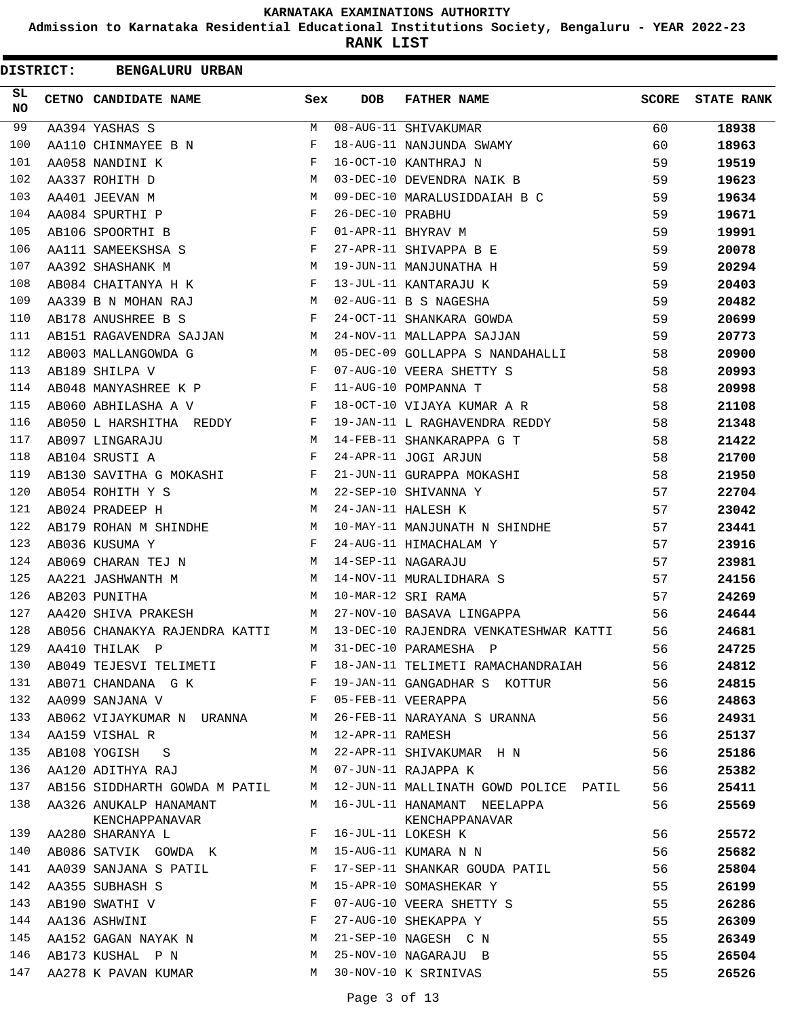**Admission to Karnataka Residential Educational Institutions Society, Bengaluru - YEAR 2022-23**

| <b>DISTRICT:</b> | <b>BENGALURU URBAN</b>                                                                                                                                                                                                                               |              |                  |                                       |              |                   |
|------------------|------------------------------------------------------------------------------------------------------------------------------------------------------------------------------------------------------------------------------------------------------|--------------|------------------|---------------------------------------|--------------|-------------------|
| SL<br><b>NO</b>  | CETNO CANDIDATE NAME                                                                                                                                                                                                                                 | Sex          | <b>DOB</b>       | <b>FATHER NAME</b>                    | <b>SCORE</b> | <b>STATE RANK</b> |
| 99               | AA394 YASHAS S                                                                                                                                                                                                                                       | M            |                  | 08-AUG-11 SHIVAKUMAR                  | 60           | 18938             |
| 100              | AA110 CHINMAYEE B N                                                                                                                                                                                                                                  | F            |                  | 18-AUG-11 NANJUNDA SWAMY              | 60           | 18963             |
| 101              | AA058 NANDINI K                                                                                                                                                                                                                                      | F            |                  | 16-OCT-10 KANTHRAJ N                  | 59           | 19519             |
| 102              | AA337 ROHITH D                                                                                                                                                                                                                                       | М            |                  | 03-DEC-10 DEVENDRA NAIK B             | 59           | 19623             |
| 103              | AA401 JEEVAN M                                                                                                                                                                                                                                       | M            |                  | 09-DEC-10 MARALUSIDDAIAH B C          | 59           | 19634             |
| 104              | AA084 SPURTHI P                                                                                                                                                                                                                                      | F            | 26-DEC-10 PRABHU |                                       | 59           | 19671             |
| 105              | AB106 SPOORTHI B                                                                                                                                                                                                                                     | F            |                  | 01-APR-11 BHYRAV M                    | 59           | 19991             |
| 106              | AA111 SAMEEKSHSA S                                                                                                                                                                                                                                   | F            |                  | 27-APR-11 SHIVAPPA B E                | 59           | 20078             |
| 107              | AA392 SHASHANK M                                                                                                                                                                                                                                     | M            |                  | 19-JUN-11 MANJUNATHA H                | 59           | 20294             |
| 108              | AB084 CHAITANYA H K                                                                                                                                                                                                                                  | F            |                  | 13-JUL-11 KANTARAJU K                 | 59           | 20403             |
| 109              | AA339 B N MOHAN RAJ                                                                                                                                                                                                                                  | M            |                  | 02-AUG-11 B S NAGESHA                 | 59           | 20482             |
| 110              | AB178 ANUSHREE B S                                                                                                                                                                                                                                   | F            |                  | 24-OCT-11 SHANKARA GOWDA              | 59           | 20699             |
| 111              | AB151 RAGAVENDRA SAJJAN                                                                                                                                                                                                                              | M            |                  | 24-NOV-11 MALLAPPA SAJJAN             | 59           | 20773             |
| 112              | AB003 MALLANGOWDA G                                                                                                                                                                                                                                  | M            |                  | 05-DEC-09 GOLLAPPA S NANDAHALLI       | 58           | 20900             |
| 113              | AB189 SHILPA V                                                                                                                                                                                                                                       | F            |                  | 07-AUG-10 VEERA SHETTY S              | 58           | 20993             |
| 114              | AB048 MANYASHREE K P                                                                                                                                                                                                                                 | F            |                  | 11-AUG-10 POMPANNA T                  | 58           | 20998             |
| 115              | AB060 ABHILASHA A V                                                                                                                                                                                                                                  | F            |                  | 18-OCT-10 VIJAYA KUMAR A R            | 58           | 21108             |
| 116              | AB050 L HARSHITHA REDDY                                                                                                                                                                                                                              | F            |                  | 19-JAN-11 L RAGHAVENDRA REDDY         | 58           | 21348             |
| 117              | AB097 LINGARAJU                                                                                                                                                                                                                                      | М            |                  | 14-FEB-11 SHANKARAPPA G T             | 58           | 21422             |
| 118              | AB104 SRUSTI A                                                                                                                                                                                                                                       | F            |                  | 24-APR-11 JOGI ARJUN                  | 58           | 21700             |
| 119              | AB130 SAVITHA G MOKASHI                                                                                                                                                                                                                              | F            |                  | 21-JUN-11 GURAPPA MOKASHI             | 58           | 21950             |
| 120              | AB054 ROHITH Y S                                                                                                                                                                                                                                     | M            |                  | 22-SEP-10 SHIVANNA Y                  | 57           | 22704             |
| 121              | AB024 PRADEEP H                                                                                                                                                                                                                                      | M            |                  | 24-JAN-11 HALESH K                    | 57           | 23042             |
| 122              | AB179 ROHAN M SHINDHE                                                                                                                                                                                                                                | M            |                  | 10-MAY-11 MANJUNATH N SHINDHE         | 57           | 23441             |
| 123              | AB036 KUSUMA Y                                                                                                                                                                                                                                       | F            |                  | 24-AUG-11 HIMACHALAM Y                | 57           | 23916             |
| 124              | AB069 CHARAN TEJ N                                                                                                                                                                                                                                   | M            |                  | 14-SEP-11 NAGARAJU                    | 57           | 23981             |
| 125              | AA221 JASHWANTH M                                                                                                                                                                                                                                    | м            |                  | 14-NOV-11 MURALIDHARA S               | 57           | 24156             |
| 126              | AB203 PUNITHA                                                                                                                                                                                                                                        | M            |                  | 10-MAR-12 SRI RAMA                    | 57           | 24269             |
| 127              | AA420 SHIVA PRAKESH                                                                                                                                                                                                                                  | M            |                  | 27-NOV-10 BASAVA LINGAPPA             | 56           | 24644             |
| 128              | AB056 CHANAKYA RAJENDRA KATTI                                                                                                                                                                                                                        | M            |                  | 13-DEC-10 RAJENDRA VENKATESHWAR KATTI | 56           | 24681             |
| 129              | AA410 THILAK P                                                                                                                                                                                                                                       | M            |                  | 31-DEC-10 PARAMESHA P                 | 56           | 24725             |
| 130              | AB049 TEJESVI TELIMETI                                                                                                                                                                                                                               | F            |                  | 18-JAN-11 TELIMETI RAMACHANDRAIAH     | 56           | 24812             |
| 131              | AB071 CHANDANA G K<br>the contract of the contract of the Property of the Property of the Property of the Property of the Property of the Property of the Property of the Property of the Property of the Property of the Property of the Property o |              |                  | 19-JAN-11 GANGADHAR S KOTTUR          | 56           | 24815             |
| 132              | AA099 SANJANA V                                                                                                                                                                                                                                      | $\mathbf{F}$ |                  | 05-FEB-11 VEERAPPA                    | 56           | 24863             |
| 133              | AB062 VIJAYKUMAR N URANNA M                                                                                                                                                                                                                          |              |                  | 26-FEB-11 NARAYANA S URANNA           | 56           | 24931             |
| 134              | AA159 VISHAL R                                                                                                                                                                                                                                       | M            | 12-APR-11 RAMESH |                                       | 56           | 25137             |
| 135              | AB108 YOGISH S                                                                                                                                                                                                                                       | M            |                  | 22-APR-11 SHIVAKUMAR H N              | 56           | 25186             |
| 136              | AA120 ADITHYA RAJ                                                                                                                                                                                                                                    | M            |                  | 07-JUN-11 RAJAPPA K                   | 56           | 25382             |
| 137              | AB156 SIDDHARTH GOWDA M PATIL M                                                                                                                                                                                                                      |              |                  | 12-JUN-11 MALLINATH GOWD POLICE PATIL | 56           | 25411             |
| 138              | AA326 ANUKALP HANAMANT                                                                                                                                                                                                                               | M            |                  | 16-JUL-11 HANAMANT NEELAPPA           | 56           | 25569             |
| 139              | KENCHAPPANAVAR<br>AA280 SHARANYA L                                                                                                                                                                                                                   | F            |                  | KENCHAPPANAVAR<br>16-JUL-11 LOKESH K  | 56           | 25572             |
| 140              | AB086 SATVIK GOWDA K                                                                                                                                                                                                                                 | M            |                  | 15-AUG-11 KUMARA N N                  | 56           | 25682             |
| 141              | AA039 SANJANA S PATIL                                                                                                                                                                                                                                | F            |                  | 17-SEP-11 SHANKAR GOUDA PATIL         | 56           |                   |
| 142              | AA355 SUBHASH S                                                                                                                                                                                                                                      | M            |                  | 15-APR-10 SOMASHEKAR Y                | 55           | 25804             |
| 143              | AB190 SWATHI V                                                                                                                                                                                                                                       | F            |                  | 07-AUG-10 VEERA SHETTY S              | 55           | 26199             |
| 144              | AA136 ASHWINI                                                                                                                                                                                                                                        | F            |                  | 27-AUG-10 SHEKAPPA Y                  | 55           | 26286<br>26309    |
| 145              | AA152 GAGAN NAYAK N                                                                                                                                                                                                                                  | M            |                  | 21-SEP-10 NAGESH C N                  |              |                   |
| 146              |                                                                                                                                                                                                                                                      |              |                  |                                       | 55           | 26349             |
|                  | AB173 KUSHAL P N                                                                                                                                                                                                                                     | М            |                  | 25-NOV-10 NAGARAJU B                  | 55           | 26504             |
| 147              | AA278 K PAVAN KUMAR                                                                                                                                                                                                                                  | M            |                  | 30-NOV-10 K SRINIVAS                  | 55           | 26526             |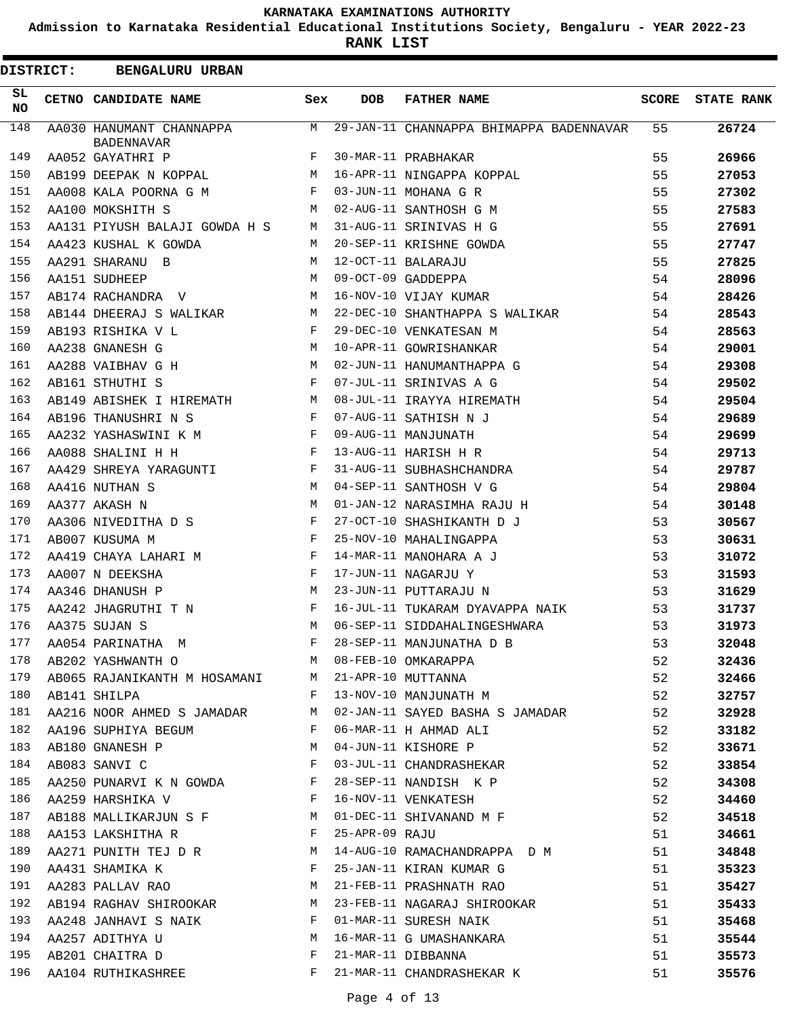**Admission to Karnataka Residential Educational Institutions Society, Bengaluru - YEAR 2022-23**

|          | <b>DISTRICT:</b> | <b>BENGALURU URBAN</b>                                            |              |            |                                                                                                                                                                                                                                                                                                                                                                                       |       |                   |
|----------|------------------|-------------------------------------------------------------------|--------------|------------|---------------------------------------------------------------------------------------------------------------------------------------------------------------------------------------------------------------------------------------------------------------------------------------------------------------------------------------------------------------------------------------|-------|-------------------|
| SL<br>NO |                  | CETNO CANDIDATE NAME                                              | Sex          | <b>DOB</b> | <b>FATHER NAME</b>                                                                                                                                                                                                                                                                                                                                                                    | SCORE | <b>STATE RANK</b> |
| 148      |                  | AA030 HANUMANT CHANNAPPA<br><b>BADENNAVAR</b>                     | M            |            | 29-JAN-11 CHANNAPPA BHIMAPPA BADENNAVAR                                                                                                                                                                                                                                                                                                                                               | 55    | 26724             |
| 149      |                  | AA052 GAYATHRI P                                                  | F            |            | 30-MAR-11 PRABHAKAR                                                                                                                                                                                                                                                                                                                                                                   | 55    | 26966             |
| 150      |                  | AB199 DEEPAK N KOPPAL                                             | M            |            | 16-APR-11 NINGAPPA KOPPAL                                                                                                                                                                                                                                                                                                                                                             | 55    | 27053             |
| 151      |                  | AA008 KALA POORNA G M                                             | F            |            | 03-JUN-11 MOHANA G R                                                                                                                                                                                                                                                                                                                                                                  | 55    | 27302             |
| 152      |                  | AA100 MOKSHITH S                                                  | М            |            | 02-AUG-11 SANTHOSH G M                                                                                                                                                                                                                                                                                                                                                                | 55    | 27583             |
| 153      |                  | AA131 PIYUSH BALAJI GOWDA H S                                     | M            |            | 31-AUG-11 SRINIVAS H G                                                                                                                                                                                                                                                                                                                                                                | 55    | 27691             |
| 154      |                  | AA423 KUSHAL K GOWDA                                              | M            |            | 20-SEP-11 KRISHNE GOWDA                                                                                                                                                                                                                                                                                                                                                               | 55    | 27747             |
| 155      |                  | AA291 SHARANU B                                                   | M            |            | 12-OCT-11 BALARAJU                                                                                                                                                                                                                                                                                                                                                                    | 55    | 27825             |
| 156      |                  | AA151 SUDHEEP                                                     | M            |            | 09-OCT-09 GADDEPPA                                                                                                                                                                                                                                                                                                                                                                    | 54    | 28096             |
| 157      |                  | AB174 RACHANDRA V                                                 | M            |            | 16-NOV-10 VIJAY KUMAR                                                                                                                                                                                                                                                                                                                                                                 | 54    | 28426             |
| 158      |                  | AB144 DHEERAJ S WALIKAR                                           | M            |            | 22-DEC-10 SHANTHAPPA S WALIKAR                                                                                                                                                                                                                                                                                                                                                        | 54    | 28543             |
| 159      |                  | AB193 RISHIKA V L                                                 | F            |            | 29-DEC-10 VENKATESAN M                                                                                                                                                                                                                                                                                                                                                                | 54    | 28563             |
| 160      |                  | AA238 GNANESH G                                                   | M            |            | 10-APR-11 GOWRISHANKAR                                                                                                                                                                                                                                                                                                                                                                | 54    | 29001             |
| 161      |                  | AA288 VAIBHAV G H M                                               |              |            | 02-JUN-11 HANUMANTHAPPA G                                                                                                                                                                                                                                                                                                                                                             | 54    | 29308             |
| 162      |                  | AB161 STHUTHI S                                                   | F            |            | 07-JUL-11 SRINIVAS A G                                                                                                                                                                                                                                                                                                                                                                | 54    | 29502             |
| 163      |                  | AB149 ABISHEK I HIREMATH                                          | M            |            | 08-JUL-11 IRAYYA HIREMATH                                                                                                                                                                                                                                                                                                                                                             | 54    | 29504             |
| 164      |                  | AB196 THANUSHRI N S                                               | F            |            | 07-AUG-11 SATHISH N J                                                                                                                                                                                                                                                                                                                                                                 | 54    | 29689             |
| 165      |                  | <b>Example 2</b><br>AA232 YASHASWINI K M                          |              |            | 09-AUG-11 MANJUNATH                                                                                                                                                                                                                                                                                                                                                                   | 54    | 29699             |
| 166      |                  | AA088 SHALINI H H                                                 | $\mathbf{F}$ |            | 13-AUG-11 HARISH H R                                                                                                                                                                                                                                                                                                                                                                  | 54    | 29713             |
| 167      |                  | AA429 SHREYA YARAGUNTI                                            | F            |            | 31-AUG-11 SUBHASHCHANDRA                                                                                                                                                                                                                                                                                                                                                              | 54    | 29787             |
| 168      |                  | AA416 NUTHAN S                                                    | M            |            | 04-SEP-11 SANTHOSH V G                                                                                                                                                                                                                                                                                                                                                                | 54    | 29804             |
| 169      |                  | AA377 AKASH N                                                     | M            |            | 01-JAN-12 NARASIMHA RAJU H                                                                                                                                                                                                                                                                                                                                                            | 54    | 30148             |
| 170      |                  | AA306 NIVEDITHA D S                                               | F            |            | 27-OCT-10 SHASHIKANTH D J                                                                                                                                                                                                                                                                                                                                                             | 53    | 30567             |
| 171      |                  | AB007 KUSUMA M                                                    | F            |            | 25-NOV-10 MAHALINGAPPA                                                                                                                                                                                                                                                                                                                                                                | 53    | 30631             |
| 172      |                  | AA419 CHAYA LAHARI M F                                            |              |            | 14-MAR-11 MANOHARA A J                                                                                                                                                                                                                                                                                                                                                                | 53    | 31072             |
| 173      |                  | AA007 N DEEKSHA                                                   | F            |            | 17-JUN-11 NAGARJU Y                                                                                                                                                                                                                                                                                                                                                                   | 53    | 31593             |
| 174      |                  | AA346 DHANUSH P                                                   | M            |            | 23-JUN-11 PUTTARAJU N                                                                                                                                                                                                                                                                                                                                                                 | 53    | 31629             |
| 175      |                  | AA242 JHAGRUTHI T N                                               | F            |            | 16-JUL-11 TUKARAM DYAVAPPA NAIK                                                                                                                                                                                                                                                                                                                                                       | 53    | 31737             |
| 176      |                  | AA375 SUJAN S                                                     | M            |            | 06-SEP-11 SIDDAHALINGESHWARA                                                                                                                                                                                                                                                                                                                                                          | 53    | 31973             |
|          |                  |                                                                   |              |            |                                                                                                                                                                                                                                                                                                                                                                                       | 53    | 32048             |
|          |                  |                                                                   |              |            | $\begin{array}{lllllllll} 177 & \texttt{AA054 } \texttt{PARINATHA} & \texttt{M} & \texttt{F} & 28-SEP-11 } \texttt{MANJUNATHA } \texttt{D} & \texttt{B} & 53 \\ \texttt{AB202 } \texttt{YASHWANTH} & \texttt{O} & \texttt{M} & 08-FEB-10 } \texttt{OMKARAPPA} & 52 \\ \texttt{AB065 RAJANIKANTH} & \texttt{M HOSAMANI} & \texttt{M} & 21-APR-10 } \texttt{MUTTANNA} & 52 \end{array}$ | 52    | 32436             |
|          |                  |                                                                   |              |            |                                                                                                                                                                                                                                                                                                                                                                                       |       | 32466             |
| 180      |                  |                                                                   |              |            | AB141 SHILPA 52                                                                                                                                                                                                                                                                                                                                                                       |       | 32757             |
| 181      |                  |                                                                   |              |            | AA216 NOOR AHMED S JAMADAR M 02-JAN-11 SAYED BASHA S JAMADAR 52                                                                                                                                                                                                                                                                                                                       |       | 32928             |
|          |                  | 182 AA196 SUPHIYA BEGUM F 06-MAR-11 H AHMAD ALI                   |              |            |                                                                                                                                                                                                                                                                                                                                                                                       | 52    | 33182             |
| 183      |                  | AB180 GNANESH P M 04-JUN-11 KISHORE P                             |              |            |                                                                                                                                                                                                                                                                                                                                                                                       | 52    | 33671             |
|          |                  |                                                                   |              |            | 184 AB083 SANVI C F 03-JUL-11 CHANDRASHEKAR                                                                                                                                                                                                                                                                                                                                           | 52    | 33854             |
| 185      |                  |                                                                   |              |            | AA250 PUNARVI K N GOWDA F 28-SEP-11 NANDISH K P                                                                                                                                                                                                                                                                                                                                       | 52    | 34308             |
| 186      |                  | AA259 HARSHIKA V                          F   16-NOV-11 VENKATESH |              |            |                                                                                                                                                                                                                                                                                                                                                                                       | 52    | 34460             |
| 187      |                  |                                                                   |              |            | AB188 MALLIKARJUN S F M 01-DEC-11 SHIVANAND M F                                                                                                                                                                                                                                                                                                                                       | 52    | 34518             |
| 188      |                  | AA153 LAKSHITHA R F 25-APR-09 RAJU                                |              |            |                                                                                                                                                                                                                                                                                                                                                                                       | 51    | 34661             |
| 189      |                  |                                                                   |              |            | AA271 PUNITH TEJ D R<br>M 14-AUG-10 RAMACHANDRAPPA D M 51                                                                                                                                                                                                                                                                                                                             |       | 34848             |
| 190      |                  |                                                                   |              |            | AA431 SHAMIKA K K SHERE SHAM-11 KIRAN KUMAR G                                                                                                                                                                                                                                                                                                                                         | 51    | 35323             |
| 191      |                  |                                                                   |              |            | AA283 PALLAV RAO M 21-FEB-11 PRASHNATH RAO                                                                                                                                                                                                                                                                                                                                            | 51    | 35427             |
| 192      |                  |                                                                   |              |            | AB194 RAGHAV SHIROOKAR M 23-FEB-11 NAGARAJ SHIROOKAR                                                                                                                                                                                                                                                                                                                                  | 51    | 35433             |
| 193      |                  | AA248 JANHAVI S NAIK F 01-MAR-11 SURESH NAIK                      |              |            |                                                                                                                                                                                                                                                                                                                                                                                       | 51    | 35468             |
| 194      |                  |                                                                   |              |            | AA257 ADITHYA U M 16-MAR-11 G UMASHANKARA                                                                                                                                                                                                                                                                                                                                             | 51    | 35544             |
| 195      |                  | AB201 CHAITRA D F 21-MAR-11 DIBBANNA                              |              |            |                                                                                                                                                                                                                                                                                                                                                                                       | 51    | 35573             |
| 196      |                  |                                                                   |              |            | AA104 RUTHIKASHREE TALLER F 21-MAR-11 CHANDRASHEKAR K                                                                                                                                                                                                                                                                                                                                 | 51    | 35576             |
|          |                  |                                                                   |              |            |                                                                                                                                                                                                                                                                                                                                                                                       |       |                   |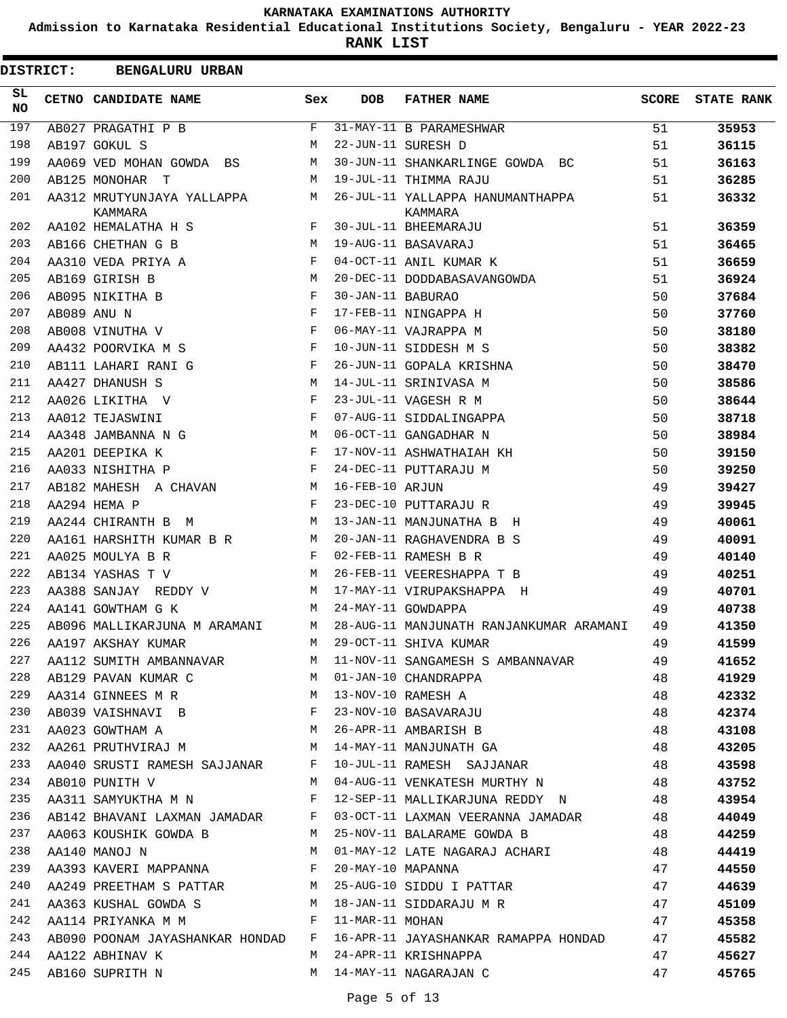**Admission to Karnataka Residential Educational Institutions Society, Bengaluru - YEAR 2022-23**

**RANK LIST**

|            | <b>DISTRICT:</b> | <b>BENGALURU URBAN</b>                |     |                   |                                                                    |              |                   |
|------------|------------------|---------------------------------------|-----|-------------------|--------------------------------------------------------------------|--------------|-------------------|
| SL.<br>NO. |                  | CETNO CANDIDATE NAME                  | Sex | <b>DOB</b>        | <b>FATHER NAME</b>                                                 | <b>SCORE</b> | <b>STATE RANK</b> |
| 197        |                  | AB027 PRAGATHI P B                    | F   |                   | 31-MAY-11 B PARAMESHWAR                                            | 51           | 35953             |
| 198        |                  | AB197 GOKUL S                         | М   |                   | 22-JUN-11 SURESH D                                                 | 51           | 36115             |
| 199        |                  | AA069 VED MOHAN GOWDA BS              | M   |                   | 30-JUN-11 SHANKARLINGE GOWDA BC                                    | 51           | 36163             |
| 200        |                  | AB125 MONOHAR<br>T                    | M   |                   | 19-JUL-11 THIMMA RAJU                                              | 51           | 36285             |
| 201        |                  | AA312 MRUTYUNJAYA YALLAPPA<br>KAMMARA | М   |                   | 26-JUL-11 YALLAPPA HANUMANTHAPPA<br>KAMMARA                        | 51           | 36332             |
| 202        |                  | AA102 HEMALATHA H S                   | F   |                   | 30-JUL-11 BHEEMARAJU                                               | 51           | 36359             |
| 203        |                  | AB166 CHETHAN G B                     | M   |                   | 19-AUG-11 BASAVARAJ                                                | 51           | 36465             |
| 204        |                  | AA310 VEDA PRIYA A                    | F   |                   | 04-OCT-11 ANIL KUMAR K                                             | 51           | 36659             |
| 205        |                  | AB169 GIRISH B                        | M   |                   | 20-DEC-11 DODDABASAVANGOWDA                                        | 51           | 36924             |
| 206        |                  | AB095 NIKITHA B                       | F   | 30-JAN-11 BABURAO |                                                                    | 50           | 37684             |
| 207        |                  | AB089 ANU N                           | F   |                   | 17-FEB-11 NINGAPPA H                                               | 50           | 37760             |
| 208        |                  | AB008 VINUTHA V                       | F   |                   | 06-MAY-11 VAJRAPPA M                                               | 50           | 38180             |
| 209        |                  | AA432 POORVIKA M S                    | F   |                   | 10-JUN-11 SIDDESH M S                                              | 50           | 38382             |
| 210        |                  | AB111 LAHARI RANI G                   | F   |                   | 26-JUN-11 GOPALA KRISHNA                                           | 50           | 38470             |
| 211        |                  | AA427 DHANUSH S                       | М   |                   | 14-JUL-11 SRINIVASA M                                              | 50           | 38586             |
| 212        |                  | AA026 LIKITHA V                       | F   |                   | 23-JUL-11 VAGESH R M                                               | 50           | 38644             |
| 213        |                  | AA012 TEJASWINI                       | F   |                   | 07-AUG-11 SIDDALINGAPPA                                            | 50           | 38718             |
| 214        |                  | AA348 JAMBANNA N G                    | M   |                   | 06-OCT-11 GANGADHAR N                                              | 50           | 38984             |
| 215        |                  | AA201 DEEPIKA K                       | F   |                   | 17-NOV-11 ASHWATHAIAH KH                                           | 50           | 39150             |
| 216        |                  | AA033 NISHITHA P                      | F   |                   | 24-DEC-11 PUTTARAJU M                                              | 50           | 39250             |
| 217        |                  | AB182 MAHESH A CHAVAN                 | М   | 16-FEB-10 ARJUN   |                                                                    | 49           | 39427             |
| 218        |                  | AA294 HEMA P                          | F   |                   | 23-DEC-10 PUTTARAJU R                                              | 49           | 39945             |
| 219        |                  | AA244 CHIRANTH B M                    | М   |                   | 13-JAN-11 MANJUNATHA B H                                           | 49           | 40061             |
| 220        |                  | AA161 HARSHITH KUMAR B R              | M   |                   | 20-JAN-11 RAGHAVENDRA B S                                          | 49           | 40091             |
| 221        |                  | AA025 MOULYA B R                      | F   |                   | 02-FEB-11 RAMESH B R                                               | 49           | 40140             |
| 222        |                  | AB134 YASHAS T V                      | M   |                   | 26-FEB-11 VEERESHAPPA T B                                          | 49           | 40251             |
| 223        |                  | AA388 SANJAY REDDY V                  | M   |                   | 17-MAY-11 VIRUPAKSHAPPA H                                          | 49           | 40701             |
| 224        |                  | AA141 GOWTHAM G K                     | M   |                   | 24-MAY-11 GOWDAPPA                                                 | 49           | 40738             |
| 225        |                  | AB096 MALLIKARJUNA M ARAMANI          | М   |                   | 28-AUG-11 MANJUNATH RANJANKUMAR ARAMANI                            | 49           | 41350             |
| 226        |                  | AA197 AKSHAY KUMAR                    | М   |                   | 29-OCT-11 SHIVA KUMAR                                              | 49           | 41599             |
| 227        |                  | AA112 SUMITH AMBANNAVAR M             |     |                   | 11-NOV-11 SANGAMESH S AMBANNAVAR                                   | 49           | 41652             |
| 228        |                  | M<br>AB129 PAVAN KUMAR C              |     |                   | 01-JAN-10 CHANDRAPPA                                               | 48           | 41929             |
| 229        |                  | AA314 GINNEES M R M                   |     |                   | 13-NOV-10 RAMESH A                                                 | 48           | 42332             |
| 230        |                  | AB039 VAISHNAVI B                     |     |                   | 23-NOV-10 BASAVARAJU                                               | 48           | 42374             |
| 231        |                  | <b>M</b><br>AA023 GOWTHAM A           |     |                   |                                                                    | 48           | 43108             |
| 232        |                  | AA261 PRUTHVIRAJ M                    | M   |                   | 26-APR-11 AMBARISH B<br>14-MAY-11 MANJUNATH GA<br>10-TUL 11 DALLER | 48           | 43205             |
| 233        |                  | AA040 SRUSTI RAMESH SAJJANAR F        |     |                   | 10-JUL-11 RAMESH SAJJANAR                                          | 48           | 43598             |
| 234        |                  | AB010 PUNITH V                        | M   |                   | 04-AUG-11 VENKATESH MURTHY N                                       | 48           | 43752             |
| 235        |                  | AA311 SAMYUKTHA M N                   | F   |                   | 12-SEP-11 MALLIKARJUNA REDDY N                                     | 48           | 43954             |
| 236        |                  | AB142 BHAVANI LAXMAN JAMADAR F        |     |                   | 03-OCT-11 LAXMAN VEERANNA JAMADAR                                  | 48           | 44049             |
| 237        |                  | AA063 KOUSHIK GOWDA B                 | M   |                   | 25-NOV-11 BALARAME GOWDA B                                         | 48           | 44259             |
| 238        |                  | AA140 MANOJ N                         | M   |                   |                                                                    | 48           | 44419             |
| 239        |                  | AA393 KAVERI MAPPANNA F               |     | 20-MAY-10 MAPANNA | 01-MAY-12 LATE NAGARAJ ACHARI                                      | 47           | 44550             |
| 240        |                  | AA249 PREETHAM S PATTAR M             |     |                   | 25-AUG-10 SIDDU I PATTAR                                           | 47           | 44639             |
| 241        |                  |                                       |     |                   |                                                                    | 47           |                   |
| 242        |                  | AA363 KUSHAL GOWDA S M                |     |                   | 18-JAN-11 SIDDARAJU M R<br>11-MAR-11 MOHAN                         |              | 45109             |
| 243        |                  | AA114 PRIYANKA M M                    |     |                   | 16-APR-11 JAYASHANKAR RAMAPPA HONDAD                               | 47           | 45358             |
|            |                  | AB090 POONAM JAYASHANKAR HONDAD F     |     |                   |                                                                    | 47           | 45582             |
| 244        |                  | AA122 ABHINAV K                       | М   |                   | 24-APR-11 KRISHNAPPA                                               | 47           | 45627             |
| 245        |                  | AB160 SUPRITH N                       |     |                   | M 14-MAY-11 NAGARAJAN C                                            | 47           | 45765             |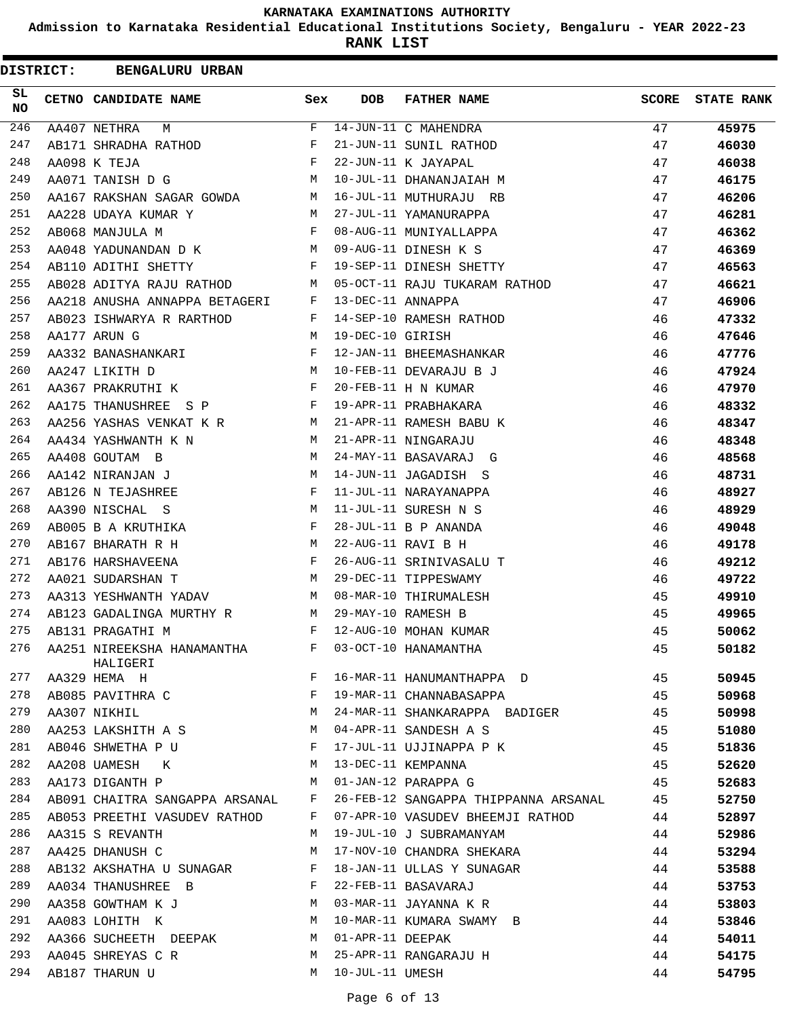**Admission to Karnataka Residential Educational Institutions Society, Bengaluru - YEAR 2022-23**

| <b>DISTRICT:</b> | <b>BENGALURU URBAN</b>         |     |                   |                                      |              |                   |
|------------------|--------------------------------|-----|-------------------|--------------------------------------|--------------|-------------------|
| SL<br><b>NO</b>  | CETNO CANDIDATE NAME           | Sex | <b>DOB</b>        | <b>FATHER NAME</b>                   | <b>SCORE</b> | <b>STATE RANK</b> |
| 246              | AA407 NETHRA<br>М              | F   |                   | 14-JUN-11 C MAHENDRA                 | 47           | 45975             |
| 247              | AB171 SHRADHA RATHOD           | F   |                   | 21-JUN-11 SUNIL RATHOD               | 47           | 46030             |
| 248              | AA098 K TEJA                   | F   |                   | 22-JUN-11 K JAYAPAL                  | 47           | 46038             |
| 249              | AA071 TANISH D G               | М   |                   | 10-JUL-11 DHANANJAIAH M              | 47           | 46175             |
| 250              | AA167 RAKSHAN SAGAR GOWDA      | M   |                   | 16-JUL-11 MUTHURAJU RB               | 47           | 46206             |
| 251              | AA228 UDAYA KUMAR Y            | M   |                   | 27-JUL-11 YAMANURAPPA                | 47           | 46281             |
| 252              | AB068 MANJULA M                | F   |                   | 08-AUG-11 MUNIYALLAPPA               | 47           | 46362             |
| 253              | AA048 YADUNANDAN D K           | M   |                   | 09-AUG-11 DINESH K S                 | 47           | 46369             |
| 254              | AB110 ADITHI SHETTY            | F   |                   | 19-SEP-11 DINESH SHETTY              | 47           | 46563             |
| 255              | AB028 ADITYA RAJU RATHOD       | М   |                   | 05-OCT-11 RAJU TUKARAM RATHOD        | 47           | 46621             |
| 256              | AA218 ANUSHA ANNAPPA BETAGERI  | F   | 13-DEC-11 ANNAPPA |                                      | 47           | 46906             |
| 257              | AB023 ISHWARYA R RARTHOD       | F   |                   | 14-SEP-10 RAMESH RATHOD              | 46           | 47332             |
| 258              | AA177 ARUN G                   | М   | 19-DEC-10 GIRISH  |                                      | 46           | 47646             |
| 259              | AA332 BANASHANKARI             | F   |                   | 12-JAN-11 BHEEMASHANKAR              | 46           | 47776             |
| 260              | AA247 LIKITH D                 | M   |                   | 10-FEB-11 DEVARAJU B J               | 46           | 47924             |
| 261              | AA367 PRAKRUTHI K              | F   |                   | 20-FEB-11 H N KUMAR                  | 46           | 47970             |
| 262              | AA175 THANUSHREE S P           | F   |                   | 19-APR-11 PRABHAKARA                 | 46           | 48332             |
| 263              | AA256 YASHAS VENKAT K R        | M   |                   | 21-APR-11 RAMESH BABU K              | 46           | 48347             |
| 264              | AA434 YASHWANTH K N            | М   |                   | 21-APR-11 NINGARAJU                  | 46           | 48348             |
| 265              | AA408 GOUTAM B                 | M   |                   | 24-MAY-11 BASAVARAJ G                | 46           | 48568             |
| 266              | AA142 NIRANJAN J               | M   |                   | 14-JUN-11 JAGADISH S                 | 46           | 48731             |
| 267              | AB126 N TEJASHREE              | F   |                   | 11-JUL-11 NARAYANAPPA                | 46           | 48927             |
| 268              | AA390 NISCHAL S                | M   |                   | 11-JUL-11 SURESH N S                 | 46           | 48929             |
| 269              | AB005 B A KRUTHIKA             | F   |                   | 28-JUL-11 B P ANANDA                 | 46           | 49048             |
| 270              | AB167 BHARATH R H              | M   |                   | 22-AUG-11 RAVI B H                   | 46           | 49178             |
| 271              | AB176 HARSHAVEENA              | F   |                   | 26-AUG-11 SRINIVASALU T              | 46           | 49212             |
| 272              | AA021 SUDARSHAN T              | M   |                   | 29-DEC-11 TIPPESWAMY                 | 46           | 49722             |
| 273              | AA313 YESHWANTH YADAV          | M   |                   | 08-MAR-10 THIRUMALESH                | 45           | 49910             |
| 274              | AB123 GADALINGA MURTHY R       | М   |                   | 29-MAY-10 RAMESH B                   | 45           | 49965             |
| 275              | AB131 PRAGATHI M               | F   |                   | 12-AUG-10 MOHAN KUMAR                | 45           | 50062             |
| 276              | AA251 NIREEKSHA HANAMANTHA     | F   |                   | 03-OCT-10 HANAMANTHA                 | 45           | 50182             |
| 277              | HALIGERI                       | F   |                   | 16-MAR-11 HANUMANTHAPPA D            | 45           | 50945             |
|                  | AA329 HEMA H                   |     |                   |                                      |              |                   |
| 278              | AB085 PAVITHRA C               | F   |                   | 19-MAR-11 CHANNABASAPPA              | 45           | 50968             |
| 279              | AA307 NIKHIL                   | M   |                   | 24-MAR-11 SHANKARAPPA BADIGER        | 45           | 50998             |
| 280              | AA253 LAKSHITH A S             | M   |                   | 04-APR-11 SANDESH A S                | 45           | 51080             |
| 281              | AB046 SHWETHA P U              | F   |                   | 17-JUL-11 UJJINAPPA P K              | 45           | 51836             |
| 282              | AA208 UAMESH<br>K              | М   |                   | 13-DEC-11 KEMPANNA                   | 45           | 52620             |
| 283              | AA173 DIGANTH P                | M   |                   | 01-JAN-12 PARAPPA G                  | 45           | 52683             |
| 284              | AB091 CHAITRA SANGAPPA ARSANAL | F   |                   | 26-FEB-12 SANGAPPA THIPPANNA ARSANAL | 45           | 52750             |
| 285              | AB053 PREETHI VASUDEV RATHOD   | F   |                   | 07-APR-10 VASUDEV BHEEMJI RATHOD     | 44           | 52897             |
| 286              | AA315 S REVANTH                | М   |                   | 19-JUL-10 J SUBRAMANYAM              | 44           | 52986             |
| 287              | AA425 DHANUSH C                | М   |                   | 17-NOV-10 CHANDRA SHEKARA            | 44           | 53294             |
| 288              | AB132 AKSHATHA U SUNAGAR       | F   |                   | 18-JAN-11 ULLAS Y SUNAGAR            | 44           | 53588             |
| 289              | AA034 THANUSHREE B             | F   |                   | 22-FEB-11 BASAVARAJ                  | 44           | 53753             |
| 290              | AA358 GOWTHAM K J              | M   |                   | 03-MAR-11 JAYANNA K R                | 44           | 53803             |
| 291              | AA083 LOHITH K                 | М   |                   | 10-MAR-11 KUMARA SWAMY B             | 44           | 53846             |
| 292              | AA366 SUCHEETH DEEPAK          | M   | 01-APR-11 DEEPAK  |                                      | 44           | 54011             |
| 293              | AA045 SHREYAS C R              | М   |                   | 25-APR-11 RANGARAJU H                | 44           | 54175             |
| 294              | AB187 THARUN U                 | M   | 10-JUL-11 UMESH   |                                      | 44           | 54795             |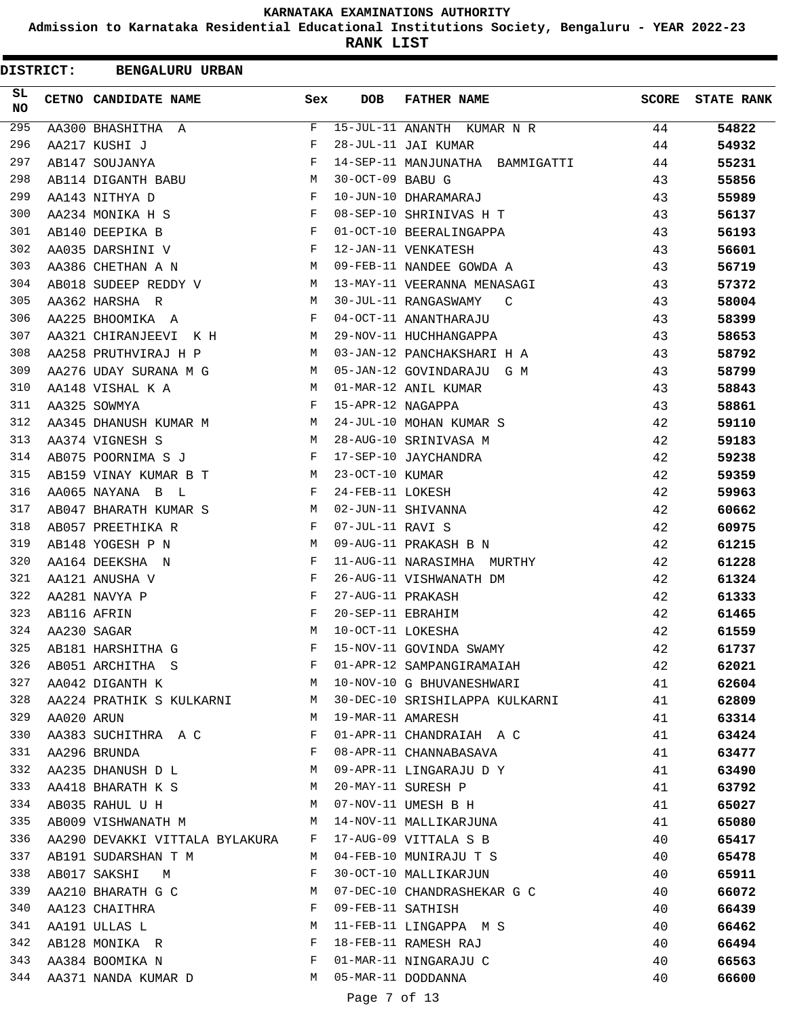**Admission to Karnataka Residential Educational Institutions Society, Bengaluru - YEAR 2022-23**

|          | <b>DISTRICT:</b> | <b>BENGALURU URBAN</b>            |              |                   |                                        |       |                   |
|----------|------------------|-----------------------------------|--------------|-------------------|----------------------------------------|-------|-------------------|
| SL<br>NO |                  | CETNO CANDIDATE NAME              | Sex          | <b>DOB</b>        | <b>FATHER NAME</b>                     | SCORE | <b>STATE RANK</b> |
| 295      |                  | AA300 BHASHITHA A                 | F            |                   | 15-JUL-11 ANANTH KUMAR N R             | 44    | 54822             |
| 296      |                  | AA217 KUSHI J                     | F            |                   | 28-JUL-11 JAI KUMAR                    | 44    | 54932             |
| 297      |                  | AB147 SOUJANYA                    | F            |                   | 14-SEP-11 MANJUNATHA BAMMIGATTI        | 44    | 55231             |
| 298      |                  | AB114 DIGANTH BABU                | М            | 30-OCT-09 BABU G  |                                        | 43    | 55856             |
| 299      |                  | AA143 NITHYA D                    | F            |                   | 10-JUN-10 DHARAMARAJ                   | 43    | 55989             |
| 300      |                  | AA234 MONIKA H S                  | F            |                   | 08-SEP-10 SHRINIVAS H T                | 43    | 56137             |
| 301      |                  | AB140 DEEPIKA B                   | F            |                   | 01-OCT-10 BEERALINGAPPA                | 43    | 56193             |
| 302      |                  | AA035 DARSHINI V                  | F            |                   | 12-JAN-11 VENKATESH                    | 43    | 56601             |
| 303      |                  | AA386 CHETHAN A N                 | M            |                   | 09-FEB-11 NANDEE GOWDA A               | 43    | 56719             |
| 304      |                  | AB018 SUDEEP REDDY V              | М            |                   | 13-MAY-11 VEERANNA MENASAGI            | 43    | 57372             |
| 305      |                  | AA362 HARSHA R                    | M            |                   | 30-JUL-11 RANGASWAMY<br>$\overline{C}$ | 43    | 58004             |
| 306      |                  | AA225 BHOOMIKA A                  | F            |                   | 04-OCT-11 ANANTHARAJU                  | 43    | 58399             |
| 307      |                  | AA321 CHIRANJEEVI K H             | М            |                   | 29-NOV-11 HUCHHANGAPPA                 | 43    | 58653             |
| 308      |                  | AA258 PRUTHVIRAJ H P              | М            |                   | 03-JAN-12 PANCHAKSHARI H A             | 43    | 58792             |
| 309      |                  | AA276 UDAY SURANA M G             | M            |                   | 05-JAN-12 GOVINDARAJU G M              | 43    | 58799             |
| 310      |                  | AA148 VISHAL K A                  | M            |                   | 01-MAR-12 ANIL KUMAR                   | 43    | 58843             |
| 311      |                  | AA325 SOWMYA                      | F            | 15-APR-12 NAGAPPA |                                        | 43    | 58861             |
| 312      |                  | AA345 DHANUSH KUMAR M             | M            |                   | 24-JUL-10 MOHAN KUMAR S                | 42    | 59110             |
| 313      |                  | AA374 VIGNESH S                   | M            |                   | 28-AUG-10 SRINIVASA M                  | 42    | 59183             |
| 314      |                  | AB075 POORNIMA S J                | F            |                   | 17-SEP-10 JAYCHANDRA                   | 42    | 59238             |
| 315      |                  | AB159 VINAY KUMAR B T             | М            | 23-OCT-10 KUMAR   |                                        | 42    | 59359             |
| 316      |                  | AA065 NAYANA B L                  | F            | 24-FEB-11 LOKESH  |                                        | 42    | 59963             |
| 317      |                  | AB047 BHARATH KUMAR S             | M            |                   | 02-JUN-11 SHIVANNA                     | 42    | 60662             |
| 318      |                  | AB057 PREETHIKA R                 | F            | 07-JUL-11 RAVI S  |                                        | 42    | 60975             |
| 319      |                  | AB148 YOGESH P N                  | M            |                   | 09-AUG-11 PRAKASH B N                  | 42    | 61215             |
| 320      |                  |                                   | F            |                   | 11-AUG-11 NARASIMHA MURTHY             | 42    |                   |
| 321      |                  | AA164 DEEKSHA N<br>AA121 ANUSHA V | F            |                   | 26-AUG-11 VISHWANATH DM                | 42    | 61228             |
| 322      |                  |                                   | F            | 27-AUG-11 PRAKASH |                                        |       | 61324             |
| 323      |                  | AA281 NAVYA P                     | F            | 20-SEP-11 EBRAHIM |                                        | 42    | 61333             |
| 324      |                  | AB116 AFRIN                       | M            | 10-OCT-11 LOKESHA |                                        | 42    | 61465             |
|          |                  | AA230 SAGAR                       |              |                   |                                        | 42    | 61559             |
| 325      |                  | AB181 HARSHITHA G                 | F            |                   | 15-NOV-11 GOVINDA SWAMY                | 42    | 61737             |
| 326      |                  | AB051 ARCHITHA S                  | F            |                   | 01-APR-12 SAMPANGIRAMAIAH              | 42    | 62021             |
| 327      |                  | AA042 DIGANTH K                   | M            |                   | 10-NOV-10 G BHUVANESHWARI              | 41    | 62604             |
| 328      |                  | AA224 PRATHIK S KULKARNI          | М            |                   | 30-DEC-10 SRISHILAPPA KULKARNI         | 41    | 62809             |
| 329      | AA020 ARUN       |                                   | M            | 19-MAR-11 AMARESH |                                        | 41    | 63314             |
| 330      |                  | AA383 SUCHITHRA A C               | F            |                   | 01-APR-11 CHANDRAIAH A C               | 41    | 63424             |
| 331      |                  | AA296 BRUNDA                      | $\mathbf{F}$ |                   | 08-APR-11 CHANNABASAVA                 | 41    | 63477             |
| 332      |                  | AA235 DHANUSH D L                 | М            |                   | 09-APR-11 LINGARAJU D Y                | 41    | 63490             |
| 333      |                  | AA418 BHARATH K S                 | M            |                   | 20-MAY-11 SURESH P                     | 41    | 63792             |
| 334      |                  | AB035 RAHUL U H                   | M            |                   | 07-NOV-11 UMESH B H                    | 41    | 65027             |
| 335      |                  | AB009 VISHWANATH M                | М            |                   | 14-NOV-11 MALLIKARJUNA                 | 41    | 65080             |
| 336      |                  | AA290 DEVAKKI VITTALA BYLAKURA F  |              |                   | 17-AUG-09 VITTALA S B                  | 40    | 65417             |
| 337      |                  | AB191 SUDARSHAN T M               | M            |                   | 04-FEB-10 MUNIRAJU T S                 | 40    | 65478             |
| 338      |                  | AB017 SAKSHI<br>M                 | F            |                   | 30-OCT-10 MALLIKARJUN                  | 40    | 65911             |
| 339      |                  | AA210 BHARATH G C                 | M            |                   | 07-DEC-10 CHANDRASHEKAR G C            | 40    | 66072             |
| 340      |                  | AA123 CHAITHRA                    | F            | 09-FEB-11 SATHISH |                                        | 40    | 66439             |
| 341      |                  | AA191 ULLAS L                     | M            |                   | 11-FEB-11 LINGAPPA M S                 | 40    | 66462             |
| 342      |                  | AB128 MONIKA R                    | F            |                   | 18-FEB-11 RAMESH RAJ                   | 40    | 66494             |
| 343      |                  | AA384 BOOMIKA N                   | F            |                   | 01-MAR-11 NINGARAJU C                  | 40    | 66563             |
| 344      |                  | AA371 NANDA KUMAR D               | М            |                   | 05-MAR-11 DODDANNA                     | 40    | 66600             |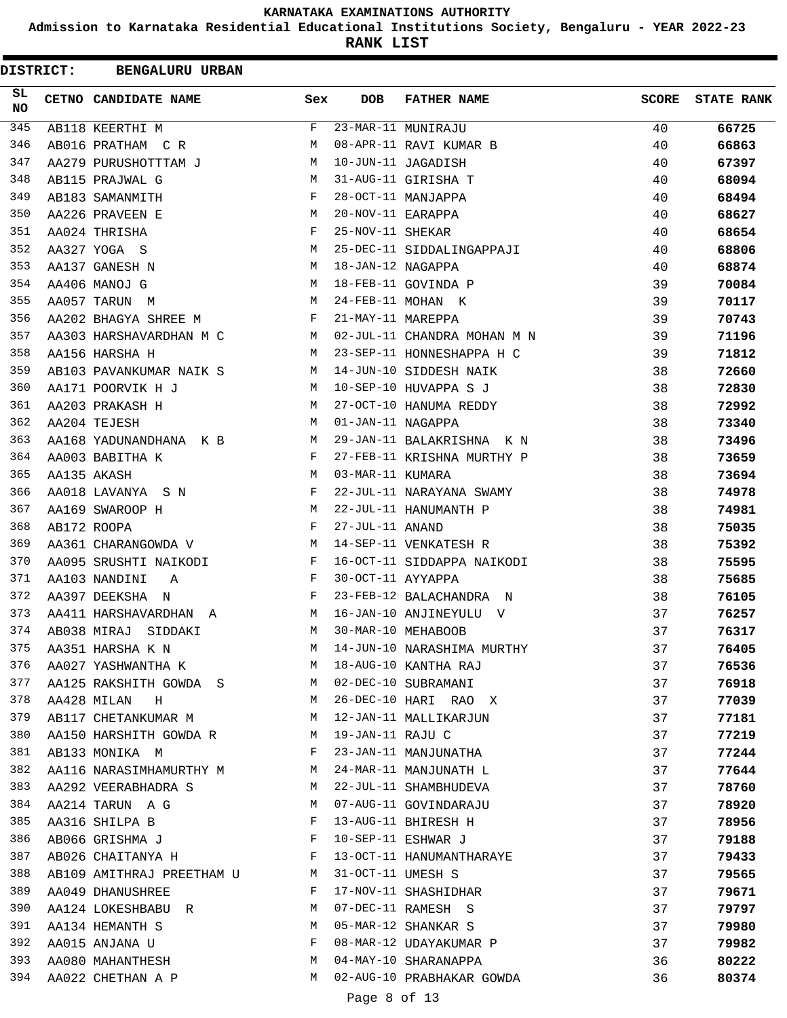**Admission to Karnataka Residential Educational Institutions Society, Bengaluru - YEAR 2022-23**

**RANK LIST**

| <b>DISTRICT:</b> |             | <b>BENGALURU URBAN</b>                       |              |                   |                               |              |                   |
|------------------|-------------|----------------------------------------------|--------------|-------------------|-------------------------------|--------------|-------------------|
| SL.<br>NO        |             | CETNO CANDIDATE NAME                         | Sex          | <b>DOB</b>        | <b>FATHER NAME</b>            | <b>SCORE</b> | <b>STATE RANK</b> |
| 345              |             | AB118 KEERTHI M                              | F            |                   | 23-MAR-11 MUNIRAJU            | 40           | 66725             |
| 346              |             | AB016 PRATHAM C R                            | М            |                   | 08-APR-11 RAVI KUMAR B        | 40           | 66863             |
| 347              |             | AA279 PURUSHOTTTAM J                         | M            |                   | 10-JUN-11 JAGADISH            | 40           | 67397             |
| 348              |             | AB115 PRAJWAL G                              | M            |                   | 31-AUG-11 GIRISHA T           | 40           | 68094             |
| 349              |             | AB183 SAMANMITH                              | F            |                   | 28-OCT-11 MANJAPPA            | 40           | 68494             |
| 350              |             | AA226 PRAVEEN E                              | M            | 20-NOV-11 EARAPPA |                               | 40           | 68627             |
| 351              |             | AA024 THRISHA                                | F            | 25-NOV-11 SHEKAR  |                               | 40           | 68654             |
| 352              |             | AA327 YOGA S                                 | М            |                   | 25-DEC-11 SIDDALINGAPPAJI     | 40           | 68806             |
| 353              |             | AA137 GANESH N                               | M            | 18-JAN-12 NAGAPPA |                               | 40           | 68874             |
| 354              |             | AA406 MANOJ G                                | M            |                   | 18-FEB-11 GOVINDA P           | 39           | 70084             |
| 355              |             | AA057 TARUN M                                | M            |                   | 24-FEB-11 MOHAN K             | 39           | 70117             |
| 356              |             | AA202 BHAGYA SHREE M                         | $\mathbf{F}$ | 21-MAY-11 MAREPPA |                               | 39           | 70743             |
| 357              |             | AA303 HARSHAVARDHAN M C                      |              |                   | M 02-JUL-11 CHANDRA MOHAN M N | 39           | 71196             |
| 358              |             | AA156 HARSHA H                               | M            |                   | 23-SEP-11 HONNESHAPPA H C     | 39           | 71812             |
| 359              |             | AB103 PAVANKUMAR NAIK S                      | M            |                   | 14-JUN-10 SIDDESH NAIK        | 38           | 72660             |
| 360              |             | AA171 POORVIK H J                            | M            |                   | 10-SEP-10 HUVAPPA S J         | 38           | 72830             |
| 361              |             | AA203 PRAKASH H                              | М            |                   | 27-OCT-10 HANUMA REDDY        | 38           | 72992             |
| 362              |             | AA204 TEJESH                                 | М            | 01-JAN-11 NAGAPPA |                               | 38           | 73340             |
| 363              |             | AA168 YADUNANDHANA K B                       | M            |                   | 29-JAN-11 BALAKRISHNA K N     | 38           | 73496             |
| 364              |             | AA003 BABITHA K                              | $\mathbf{F}$ |                   | 27-FEB-11 KRISHNA MURTHY P    | 38           | 73659             |
| 365              | AA135 AKASH |                                              | M            | 03-MAR-11 KUMARA  |                               | 38           | 73694             |
| 366              |             | AA018 LAVANYA S N                            | F            |                   | 22-JUL-11 NARAYANA SWAMY      | 38           | 74978             |
| 367              |             | AA169 SWAROOP H                              | M            |                   | 22-JUL-11 HANUMANTH P         | 38           | 74981             |
| 368              |             | AB172 ROOPA                                  | F            | 27-JUL-11 ANAND   |                               | 38           | 75035             |
| 369              |             | AA361 CHARANGOWDA V                          | M            |                   | 14-SEP-11 VENKATESH R         | 38           | 75392             |
| 370              |             | AA095 SRUSHTI NAIKODI                        | F            |                   | 16-OCT-11 SIDDAPPA NAIKODI    | 38           | 75595             |
| 371              |             | AA103 NANDINI<br>A                           | F            | 30-OCT-11 AYYAPPA |                               | 38           | 75685             |
| 372              |             | AA397 DEEKSHA N                              | $\mathbf{F}$ |                   | 23-FEB-12 BALACHANDRA N       | 38           | 76105             |
| 373              |             | AA411 HARSHAVARDHAN A                        | М            |                   | 16-JAN-10 ANJINEYULU V        | 37           | 76257             |
| 374              |             | AB038 MIRAJ SIDDAKI                          | M            |                   | 30-MAR-10 MEHABOOB            | 37           | 76317             |
| 375              |             | AA351 HARSHA K N                             | M            |                   | 14-JUN-10 NARASHIMA MURTHY    | 37           | 76405             |
| 376              |             | AA027 YASHWANTHA K                           | M            |                   | 18-AUG-10 KANTHA RAJ          | 37           | 76536             |
| 377              |             | AA125 RAKSHITH GOWDA S M 02-DEC-10 SUBRAMANI |              |                   |                               | 37           | 76918             |
| 378              |             | AA428 MILAN<br>$_{\rm H}$                    | M            |                   | 26-DEC-10 HARI RAO X          | 37           | 77039             |
| 379              |             | AB117 CHETANKUMAR M                          | M            |                   | 12-JAN-11 MALLIKARJUN         | 37           | 77181             |
| 380              |             | AA150 HARSHITH GOWDA R M                     |              | 19-JAN-11 RAJU C  |                               | 37           | 77219             |
| 381              |             | AB133 MONIKA M                               | F            |                   | 23-JAN-11 MANJUNATHA          | 37           | 77244             |
| 382              |             | AA116 NARASIMHAMURTHY M M                    |              |                   | 24-MAR-11 MANJUNATH L         | 37           | 77644             |
| 383              |             | AA292 VEERABHADRA S                          | M            |                   | 22-JUL-11 SHAMBHUDEVA         | 37           | 78760             |
| 384              |             | AA214 TARUN A G                              | M            |                   | 07-AUG-11 GOVINDARAJU         | 37           | 78920             |
| 385              |             | AA316 SHILPA B                               | F            |                   | 13-AUG-11 BHIRESH H           | 37           | 78956             |
| 386              |             | AB066 GRISHMA J                              | $\mathbf{F}$ |                   | 10-SEP-11 ESHWAR J            | 37           | 79188             |
| 387              |             | AB026 CHAITANYA H                            |              |                   | 13-OCT-11 HANUMANTHARAYE      | 37           | 79433             |
| 388              |             | AB109 AMITHRAJ PREETHAM U M                  |              | 31-OCT-11 UMESH S |                               | 37           | 79565             |
| 389              |             | AA049 DHANUSHREE                             | F            |                   | 17-NOV-11 SHASHIDHAR          | 37           | 79671             |
| 390              |             | AA124 LOKESHBABU R                           | M            |                   | 07-DEC-11 RAMESH S            | 37           | 79797             |
| 391              |             | AA134 HEMANTH S                              | M            |                   | 05-MAR-12 SHANKAR S           | 37           | 79980             |
| 392              |             | AA015 ANJANA U                               | F            |                   | 08-MAR-12 UDAYAKUMAR P        | 37           | 79982             |
| 393              |             | AA080 MAHANTHESH                             | M            |                   | 04-MAY-10 SHARANAPPA          | 36           | 80222             |
| 394              |             | AA022 CHETHAN A P                            | M            |                   | 02-AUG-10 PRABHAKAR GOWDA     | 36           | 80374             |
|                  |             |                                              |              |                   |                               |              |                   |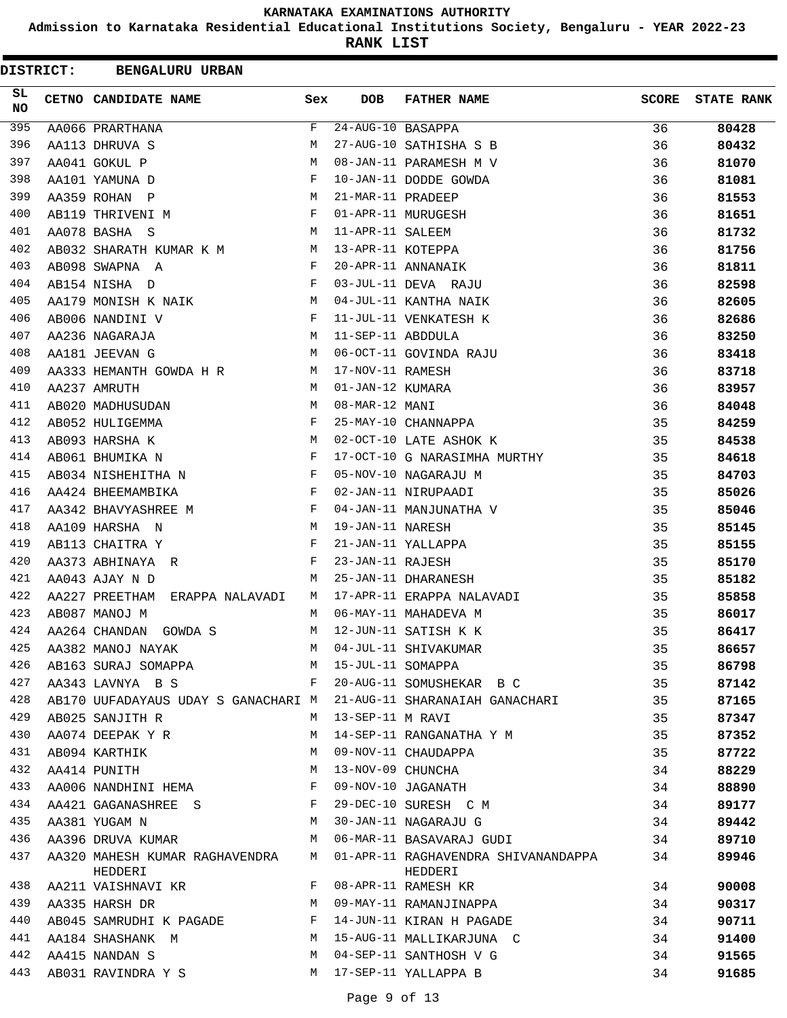**Admission to Karnataka Residential Educational Institutions Society, Bengaluru - YEAR 2022-23**

| <b>DISTRICT:</b> | <b>BENGALURU URBAN</b>                                             |     |                                 |                                     |              |                   |
|------------------|--------------------------------------------------------------------|-----|---------------------------------|-------------------------------------|--------------|-------------------|
| SL.<br>NO.       | CETNO CANDIDATE NAME                                               | Sex | <b>DOB</b>                      | <b>FATHER NAME</b>                  | <b>SCORE</b> | <b>STATE RANK</b> |
| 395              | AA066 PRARTHANA                                                    | F   | $\overline{24}$ -AUG-10 BASAPPA |                                     | 36           | 80428             |
| 396              | AA113 DHRUVA S                                                     | M   |                                 | 27-AUG-10 SATHISHA S B              | 36           | 80432             |
| 397              | AA041 GOKUL P                                                      | M   |                                 | 08-JAN-11 PARAMESH M V              | 36           | 81070             |
| 398              | AA101 YAMUNA D                                                     | F   |                                 | 10-JAN-11 DODDE GOWDA               | 36           | 81081             |
| 399              | AA359 ROHAN P                                                      | М   | 21-MAR-11 PRADEEP               |                                     | 36           | 81553             |
| 400              | AB119 THRIVENI M                                                   | F   |                                 | 01-APR-11 MURUGESH                  | 36           | 81651             |
| 401              | AA078 BASHA S                                                      | M   | 11-APR-11 SALEEM                |                                     | 36           | 81732             |
| 402              | AB032 SHARATH KUMAR K M<br><b>Solution</b> M                       |     | 13-APR-11 KOTEPPA               |                                     | 36           | 81756             |
| 403              | AB098 SWAPNA A                                                     | F   |                                 | 20-APR-11 ANNANAIK                  | 36           | 81811             |
| 404              | AB154 NISHA D                                                      | F   |                                 | 03-JUL-11 DEVA RAJU                 | 36           | 82598             |
| 405              | AA179 MONISH K NAIK                                                | M   |                                 | 04-JUL-11 KANTHA NAIK               | 36           | 82605             |
| 406              | AB006 NANDINI V                                                    | F   |                                 | 11-JUL-11 VENKATESH K               | 36           | 82686             |
| 407              | AA236 NAGARAJA                                                     | M   | 11-SEP-11 ABDDULA               |                                     | 36           | 83250             |
| 408              | AA181 JEEVAN G                                                     | M   |                                 | 06-OCT-11 GOVINDA RAJU              | 36           | 83418             |
| 409              | AA333 HEMANTH GOWDA H R                                            | M   | 17-NOV-11 RAMESH                |                                     | 36           | 83718             |
| 410              | AA237 AMRUTH                                                       | М   | 01-JAN-12 KUMARA                |                                     | 36           | 83957             |
| 411              | AB020 MADHUSUDAN                                                   | M   | 08-MAR-12 MANI                  |                                     | 36           | 84048             |
| 412              | AB052 HULIGEMMA                                                    | F   |                                 | 25-MAY-10 CHANNAPPA                 | 35           | 84259             |
| 413              | AB093 HARSHA K                                                     | М   |                                 | 02-OCT-10 LATE ASHOK K              | 35           | 84538             |
| 414              | AB061 BHUMIKA N                                                    | F   |                                 | 17-OCT-10 G NARASIMHA MURTHY        | 35           | 84618             |
| 415              | AB034 NISHEHITHA N                                                 | F   |                                 | 05-NOV-10 NAGARAJU M                | 35           | 84703             |
| 416              | AA424 BHEEMAMBIKA                                                  | F   |                                 | 02-JAN-11 NIRUPAADI                 | 35           | 85026             |
| 417              | AA342 BHAVYASHREE M                                                | F   |                                 | 04-JAN-11 MANJUNATHA V              | 35           | 85046             |
| 418              | AA109 HARSHA N                                                     | М   | 19-JAN-11 NARESH                |                                     | 35           | 85145             |
| 419              | AB113 CHAITRA Y                                                    | F   |                                 | 21-JAN-11 YALLAPPA                  | 35           | 85155             |
| 420              | AA373 ABHINAYA R                                                   | F   | 23-JAN-11 RAJESH                |                                     | 35           | 85170             |
| 421              | AA043 AJAY N D                                                     | M   |                                 | 25-JAN-11 DHARANESH                 | 35           | 85182             |
| 422              | AA227 PREETHAM<br>ERAPPA NALAVADI                                  | M   |                                 | 17-APR-11 ERAPPA NALAVADI           | 35           | 85858             |
| 423              | AB087 MANOJ M                                                      | M   |                                 | 06-MAY-11 MAHADEVA M                | 35           | 86017             |
| 424              | AA264 CHANDAN<br>GOWDA S                                           | M   |                                 | 12-JUN-11 SATISH K K                | 35           | 86417             |
| 425              | AA382 MANOJ NAYAK                                                  | M   |                                 | 04-JUL-11 SHIVAKUMAR                | 35           | 86657             |
| 426              | AB163 SURAJ SOMAPPA M                                              |     | 15-JUL-11 SOMAPPA               |                                     | 35           | 86798             |
| 427              | AA343 LAVNYA B S                                                   | F   |                                 | 20-AUG-11 SOMUSHEKAR B C            | 35           | 87142             |
| 428              | AB170 UUFADAYAUS UDAY S GANACHARI M 21-AUG-11 SHARANAIAH GANACHARI |     |                                 |                                     | 35           | 87165             |
| 429              | AB025 SANJITH R                                                    | M   | 13-SEP-11 M RAVI                |                                     | 35           | 87347             |
| 430              | AA074 DEEPAK Y R                                                   | М   |                                 | 14-SEP-11 RANGANATHA Y M            | 35           | 87352             |
| 431              | AB094 KARTHIK                                                      | M   |                                 | 09-NOV-11 CHAUDAPPA                 | 35           | 87722             |
| 432              | AA414 PUNITH                                                       | М   | 13-NOV-09 CHUNCHA               |                                     | 34           | 88229             |
| 433              | AA006 NANDHINI HEMA                                                | F   |                                 | 09-NOV-10 JAGANATH                  | 34           | 88890             |
| 434              | AA421 GAGANASHREE S                                                | F   |                                 | 29-DEC-10 SURESH C M                | 34           | 89177             |
| 435              | AA381 YUGAM N                                                      | M   |                                 | 30-JAN-11 NAGARAJU G                | 34           | 89442             |
| 436              | AA396 DRUVA KUMAR                                                  | M   |                                 | 06-MAR-11 BASAVARAJ GUDI            | 34           | 89710             |
| 437              | AA320 MAHESH KUMAR RAGHAVENDRA                                     | M   |                                 | 01-APR-11 RAGHAVENDRA SHIVANANDAPPA | 34           | 89946             |
|                  | HEDDERI                                                            |     |                                 | HEDDERI                             |              |                   |
| 438              | AA211 VAISHNAVI KR                                                 | F   |                                 | 08-APR-11 RAMESH KR                 | 34           | 90008             |
| 439              | AA335 HARSH DR                                                     | M   |                                 | 09-MAY-11 RAMANJINAPPA              | 34           | 90317             |
| 440              | AB045 SAMRUDHI K PAGADE F                                          |     |                                 | 14-JUN-11 KIRAN H PAGADE            | 34           | 90711             |
| 441              | AA184 SHASHANK M                                                   | M   |                                 | 15-AUG-11 MALLIKARJUNA C            | 34           | 91400             |
| 442              | AA415 NANDAN S                                                     | M   |                                 | 04-SEP-11 SANTHOSH V G              | 34           | 91565             |
| 443              | AB031 RAVINDRA Y S                                                 | M   |                                 | 17-SEP-11 YALLAPPA B                | 34           | 91685             |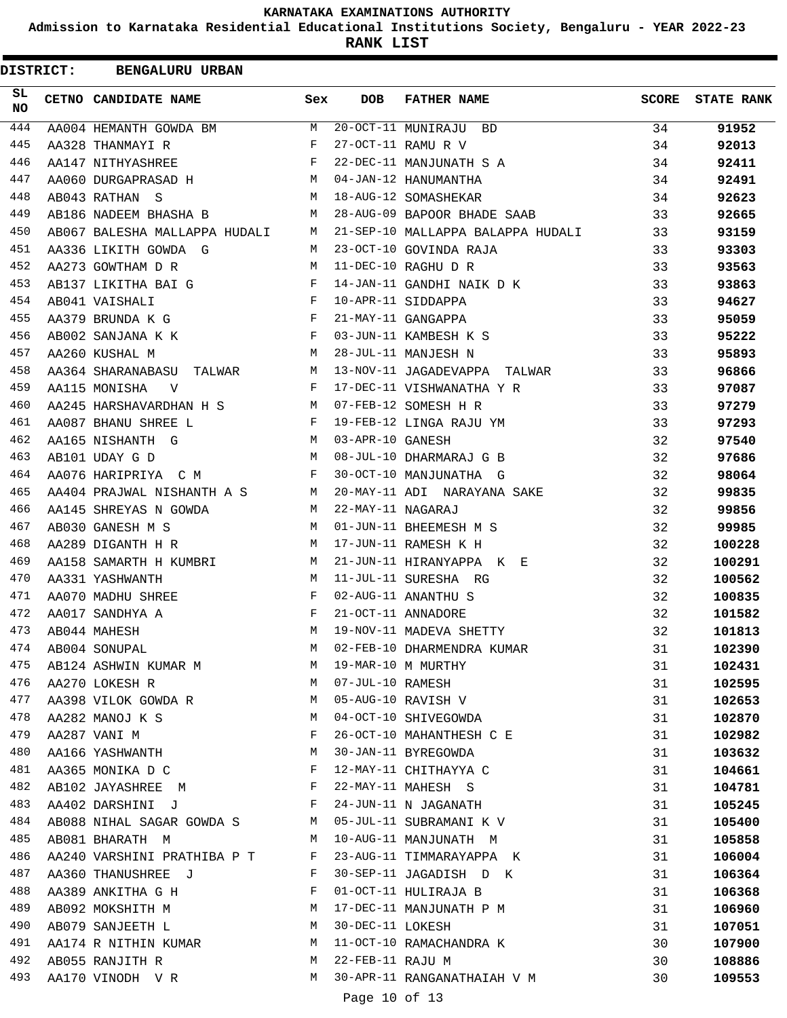**Admission to Karnataka Residential Educational Institutions Society, Bengaluru - YEAR 2022-23**

**RANK LIST**

| <b>DISTRICT:</b> | <b>BENGALURU URBAN</b>                                                                                                                                                                                                                               |              |                    |                                                                   |              |                   |
|------------------|------------------------------------------------------------------------------------------------------------------------------------------------------------------------------------------------------------------------------------------------------|--------------|--------------------|-------------------------------------------------------------------|--------------|-------------------|
| SL.<br><b>NO</b> | <b>CETNO CANDIDATE NAME</b>                                                                                                                                                                                                                          | Sex          | <b>DOB</b>         | <b>FATHER NAME</b>                                                | <b>SCORE</b> | <b>STATE RANK</b> |
| 444              | $\mathbf M$<br>AA004 HEMANTH GOWDA BM                                                                                                                                                                                                                |              |                    | $\overline{20-0CT}-11$ MUNIRAJU BD                                | 34           | 91952             |
| 445              | AA328 THANMAYI R                                                                                                                                                                                                                                     | $\mathbf{F}$ |                    | 27-OCT-11 RAMU R V                                                | 34           | 92013             |
| 446              | $\mathbf{F}$ . The contract of the contract of $\mathbf{F}$ ,<br>AA147 NITHYASHREE                                                                                                                                                                   |              |                    | 22-DEC-11 MANJUNATH S A                                           | 34           | 92411             |
| 447              | AA060 DURGAPRASAD H                                                                                                                                                                                                                                  |              |                    | 04-JAN-12 HANUMANTHA                                              | 34           | 92491             |
| 448              | AB043 RATHAN S                                                                                                                                                                                                                                       |              |                    | M 18-AUG-12 SOMASHEKAR                                            | 34           | 92623             |
| 449              |                                                                                                                                                                                                                                                      |              |                    | AB186 NADEEM BHASHA B M 28-AUG-09 BAPOOR BHADE SAAB               | 33           | 92665             |
| 450              |                                                                                                                                                                                                                                                      |              |                    | AB067 BALESHA MALLAPPA HUDALI M 21-SEP-10 MALLAPPA BALAPPA HUDALI | 33           | 93159             |
| 451              | AA336 LIKITH GOWDA G                                                                                                                                                                                                                                 | M            |                    | 23-OCT-10 GOVINDA RAJA                                            | 33           | 93303             |
| 452              | M<br>AA273 GOWTHAM D R                                                                                                                                                                                                                               |              |                    | 11-DEC-10 RAGHU D R                                               | 33           | 93563             |
| 453              | AB137 LIKITHA BAI G F                                                                                                                                                                                                                                |              |                    | 14-JAN-11 GANDHI NAIK D K                                         | 33           | 93863             |
| 454              | $\mathbf{F}$ and $\mathbf{F}$ and $\mathbf{F}$<br>AB041 VAISHALI                                                                                                                                                                                     |              |                    | 10-APR-11 SIDDAPPA                                                | 33           | 94627             |
| 455              | AA379 BRUNDA K G F                                                                                                                                                                                                                                   |              |                    | 21-MAY-11 GANGAPPA                                                | 33           | 95059             |
| 456              | AB002 SANJANA K K $\overline{F}$                                                                                                                                                                                                                     |              |                    | 03-JUN-11 KAMBESH K S                                             | 33           | 95222             |
| 457              | AA260 KUSHAL M                                                                                                                                                                                                                                       | M            |                    | 28-JUL-11 MANJESH N                                               | 33           | 95893             |
| 458              |                                                                                                                                                                                                                                                      |              |                    | AA364 SHARANABASU TALWAR M 13-NOV-11 JAGADEVAPPA TALWAR           | 33           | 96866             |
| 459              | $\mathbf{F}$ . The set of $\mathbf{F}$<br>AA115 MONISHA V                                                                                                                                                                                            |              |                    | 17-DEC-11 VISHWANATHA Y R                                         | 33           | 97087             |
| 460              | AA245 HARSHAVARDHAN H S $$\tt M$$ 07-FEB-12 SOMESH H R                                                                                                                                                                                               |              |                    |                                                                   | 33           | 97279             |
| 461              | AA087 BHANU SHREE L                                                                                                                                                                                                                                  |              |                    | F 19-FEB-12 LINGA RAJU YM                                         | 33           | 97293             |
| 462              | M 03-APR-10 GANESH<br>AA165 NISHANTH G                                                                                                                                                                                                               |              |                    |                                                                   | 32           | 97540             |
| 463              | AB101 UDAY G D                                                                                                                                                                                                                                       |              |                    | M 08-JUL-10 DHARMARAJ G B                                         | 32           | 97686             |
| 464              | AA076 HARIPRIYA C M                                                                                                                                                                                                                                  | $\mathbf{F}$ |                    | 30-OCT-10 MANJUNATHA G                                            | 32           | 98064             |
| 465              |                                                                                                                                                                                                                                                      |              |                    | AA404 PRAJWAL NISHANTH A S M 20-MAY-11 ADI NARAYANA SAKE          | 32           | 99835             |
| 466              | AA145 SHREYAS N GOWDA<br><b>Example 19</b> M                                                                                                                                                                                                         |              | 22-MAY-11 NAGARAJ  |                                                                   | 32           | 99856             |
| 467              | $M_{\rm H}$ and $M_{\rm H}$<br>AB030 GANESH M S                                                                                                                                                                                                      |              |                    | 01-JUN-11 BHEEMESH M S                                            | 32           | 99985             |
| 468              | AA289 DIGANTH H R                                                                                                                                                                                                                                    | M            |                    | 17-JUN-11 RAMESH K H                                              | 32           | 100228            |
| 469              | AA158 SAMARTH H KUMBRI M                                                                                                                                                                                                                             |              |                    | 21-JUN-11 HIRANYAPPA K E                                          | 32           | 100291            |
| 470              | M 11-JUL-11 SURESHA RG<br>AA331 YASHWANTH                                                                                                                                                                                                            |              |                    |                                                                   | 32           | 100562            |
| 471              | $\mathbf{F}$ and $\mathbf{F}$<br>AA070 MADHU SHREE                                                                                                                                                                                                   |              |                    | 02-AUG-11 ANANTHU S                                               | 32           | 100835            |
| 472              | AA017 SANDHYA A                                                                                                                                                                                                                                      | $\mathbf{F}$ |                    | 21-OCT-11 ANNADORE                                                | 32           | 101582            |
| 473              | AB044 MAHESH                                                                                                                                                                                                                                         | M            |                    | 19-NOV-11 MADEVA SHETTY                                           | 32           | 101813            |
| 474              | AB004 SONUPAL                                                                                                                                                                                                                                        | M            |                    | 02-FEB-10 DHARMENDRA KUMAR                                        | 31           | 102390            |
| 475              | AB124 ASHWIN KUMAR M M                                                                                                                                                                                                                               |              |                    | 19-MAR-10 M MURTHY                                                | 31           | 102431            |
| 476              | AA270 LOKESH R                                                                                                                                                                                                                                       |              | M 07-JUL-10 RAMESH |                                                                   | 31           | 102595            |
| 477              | AA398 VILOK GOWDA R M                                                                                                                                                                                                                                |              |                    | 05-AUG-10 RAVISH V                                                | 31           | 102653            |
| 478              | AA282 MANOJ K S M                                                                                                                                                                                                                                    |              |                    | 04-OCT-10 SHIVEGOWDA                                              | 31           | 102870            |
| 479              | AA287 VANI M                                                                                                                                                                                                                                         | F            |                    | 26-OCT-10 MAHANTHESH C E                                          | 31           | 102982            |
| 480              | AA166 YASHWANTH                                                                                                                                                                                                                                      | M            |                    | 30-JAN-11 BYREGOWDA                                               | 31           | 103632            |
| 481              | AA365 MONIKA D C F                                                                                                                                                                                                                                   |              |                    | 12-MAY-11 CHITHAYYA C                                             | 31           | 104661            |
| 482              | AB102 JAYASHREE M F                                                                                                                                                                                                                                  |              |                    | 22-MAY-11 MAHESH S                                                | 31           | 104781            |
| 483              | AA402 DARSHINI J F                                                                                                                                                                                                                                   |              |                    | 24-JUN-11 N JAGANATH                                              | 31           | 105245            |
| 484              | AB088 NIHAL SAGAR GOWDA S M 05-JUL-11 SUBRAMANI K V                                                                                                                                                                                                  |              |                    |                                                                   | 31           | 105400            |
| 485              | AB081 BHARATH M<br><b>M</b>                                                                                                                                                                                                                          |              |                    | 10-AUG-11 MANJUNATH M                                             | 31           | 105858            |
| 486              | AA240 VARSHINI PRATHIBA P T F                                                                                                                                                                                                                        |              |                    | 23-AUG-11 TIMMARAYAPPA K                                          | 31           | 106004            |
| 487              | AA360 THANUSHREE J<br>the contract of the contract of the Property of the Property of the Contract of the Property of the Property of the Property of the Property of the Property of the Property of the Property of the Property of the Property o |              |                    | 30-SEP-11 JAGADISH D K                                            | 31           | 106364            |
| 488              |                                                                                                                                                                                                                                                      | $\mathbf{F}$ |                    | 01-OCT-11 HULIRAJA B                                              | 31           | 106368            |
| 489              | AA389 ANKITHA G H<br>AB092 MOKSHITH M M                                                                                                                                                                                                              |              |                    | 17-DEC-11 MANJUNATH P M                                           | 31           | 106960            |
| 490              | AB079 SANJEETH L M                                                                                                                                                                                                                                   |              | 30-DEC-11 LOKESH   |                                                                   | 31           |                   |
| 491              | AA174 R NITHIN KUMAR M                                                                                                                                                                                                                               |              |                    |                                                                   | 30           | 107051            |
| 492              |                                                                                                                                                                                                                                                      | M            |                    | 11-OCT-10 RAMACHANDRA K<br>22-FEB-11 RAJU M                       | 30           | 107900            |
| 493              | AB055 RANJITH R                                                                                                                                                                                                                                      |              |                    | 30-APR-11 RANGANATHAIAH V M                                       | 30           | 108886            |
|                  | AA170 VINODH V R M                                                                                                                                                                                                                                   |              |                    |                                                                   |              | 109553            |
|                  |                                                                                                                                                                                                                                                      |              | Page 10 of 13      |                                                                   |              |                   |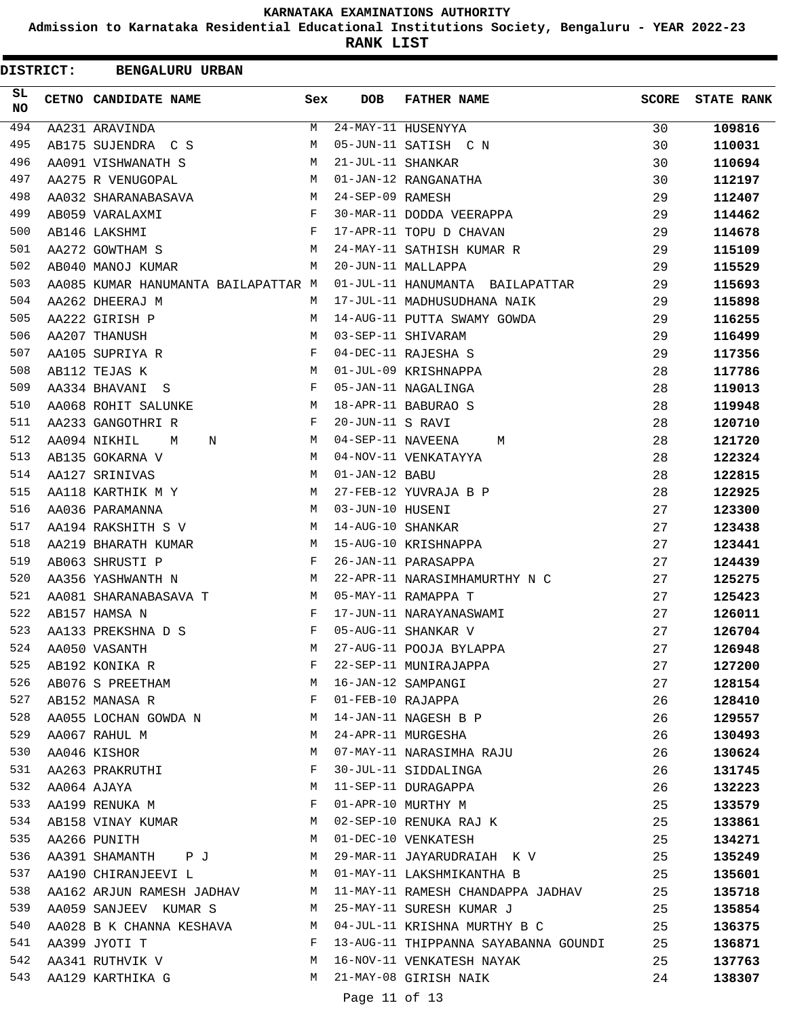**Admission to Karnataka Residential Educational Institutions Society, Bengaluru - YEAR 2022-23**

**RANK LIST**

 $\blacksquare$ 

| <b>DISTRICT:</b> | <b>BENGALURU URBAN</b>              |              |                   |                                         |       |                   |
|------------------|-------------------------------------|--------------|-------------------|-----------------------------------------|-------|-------------------|
| SL.<br>NO.       | CETNO CANDIDATE NAME                | Sex          | DOB               | <b>FATHER NAME</b>                      | SCORE | <b>STATE RANK</b> |
| 494              | AA231 ARAVINDA                      | М            |                   | 24-MAY-11 HUSENYYA                      | 30    | 109816            |
| 495              | AB175 SUJENDRA C S                  | М            |                   | 05-JUN-11 SATISH C N                    | 30    | 110031            |
| 496              | AA091 VISHWANATH S                  | M            | 21-JUL-11 SHANKAR |                                         | 30    | 110694            |
| 497              | AA275 R VENUGOPAL                   | М            |                   | 01-JAN-12 RANGANATHA                    | 30    | 112197            |
| 498              | AA032 SHARANABASAVA                 | М            | 24-SEP-09 RAMESH  |                                         | 29    | 112407            |
| 499              | AB059 VARALAXMI                     | F            |                   | 30-MAR-11 DODDA VEERAPPA                | 29    | 114462            |
| 500              | AB146 LAKSHMI                       | F            |                   | 17-APR-11 TOPU D CHAVAN                 | 29    | 114678            |
| 501              | AA272 GOWTHAM S                     | М            |                   | 24-MAY-11 SATHISH KUMAR R               | 29    | 115109            |
| 502              | AB040 MANOJ KUMAR                   | М            |                   | 20-JUN-11 MALLAPPA                      | 29    | 115529            |
| 503              | AA085 KUMAR HANUMANTA BAILAPATTAR M |              |                   | 01-JUL-11 HANUMANTA BAILAPATTAR         | 29    | 115693            |
| 504              | AA262 DHEERAJ M                     | M            |                   | 17-JUL-11 MADHUSUDHANA NAIK             | 29    | 115898            |
| 505              | AA222 GIRISH P                      | М            |                   | 14-AUG-11 PUTTA SWAMY GOWDA             | 29    | 116255            |
| 506              | AA207 THANUSH                       | M            |                   | 03-SEP-11 SHIVARAM                      | 29    | 116499            |
| 507              | AA105 SUPRIYA R                     | F            |                   | 04-DEC-11 RAJESHA S                     | 29    | 117356            |
| 508              | AB112 TEJAS K                       | M            |                   | 01-JUL-09 KRISHNAPPA                    | 28    | 117786            |
| 509              | AA334 BHAVANI S                     | F            |                   | 05-JAN-11 NAGALINGA                     | 28    | 119013            |
| 510              | AA068 ROHIT SALUNKE                 | М            |                   | 18-APR-11 BABURAO S                     | 28    | 119948            |
| 511              | AA233 GANGOTHRI R                   | F            | 20-JUN-11 S RAVI  |                                         | 28    | 120710            |
| 512              | AA094 NIKHIL<br>M<br>N              | M            | 04-SEP-11 NAVEENA | М                                       | 28    | 121720            |
| 513              | AB135 GOKARNA V                     | М            |                   | 04-NOV-11 VENKATAYYA                    | 28    | 122324            |
| 514              | AA127 SRINIVAS                      | М            | 01-JAN-12 BABU    |                                         | 28    | 122815            |
| 515              | AA118 KARTHIK M Y                   | М            |                   | 27-FEB-12 YUVRAJA B P                   | 28    | 122925            |
| 516              | AA036 PARAMANNA                     | M            | 03-JUN-10 HUSENI  |                                         | 27    | 123300            |
| 517              | AA194 RAKSHITH S V                  | М            | 14-AUG-10 SHANKAR |                                         | 27    | 123438            |
| 518              | AA219 BHARATH KUMAR                 | M            |                   | 15-AUG-10 KRISHNAPPA                    | 27    | 123441            |
| 519              | AB063 SHRUSTI P                     | F            |                   | 26-JAN-11 PARASAPPA                     | 27    | 124439            |
| 520              | AA356 YASHWANTH N                   | М            |                   | 22-APR-11 NARASIMHAMURTHY N C           | 27    | 125275            |
| 521              | AA081 SHARANABASAVA T               | M            |                   | 05-MAY-11 RAMAPPA T                     | 27    | 125423            |
| 522              | AB157 HAMSA N                       | F            |                   | 17-JUN-11 NARAYANASWAMI                 | 27    | 126011            |
| 523              | AA133 PREKSHNA D S                  | F            |                   | 05-AUG-11 SHANKAR V                     | 27    | 126704            |
|                  |                                     |              |                   |                                         |       |                   |
| 524              | AA050 VASANTH                       | М<br>F       |                   | 27-AUG-11 POOJA BYLAPPA                 | 27    | 126948            |
| 525              | AB192 KONIKA R                      |              |                   | 22-SEP-11 MUNIRAJAPPA                   | 27    | 127200            |
| 526              | AB076 S PREETHAM                    | M            |                   | 16-JAN-12 SAMPANGI                      | 27    | 128154            |
| 527              | AB152 MANASA R                      | F            |                   | 01-FEB-10 RAJAPPA                       | 26    | 128410            |
| 528              | AA055 LOCHAN GOWDA N M              |              |                   | 14-JAN-11 NAGESH B P                    | 26    | 129557            |
| 529              | AA067 RAHUL M                       | M            |                   | 24-APR-11 MURGESHA                      | 26    | 130493            |
| 530              | AA046 KISHOR                        | М            |                   | 07-MAY-11 NARASIMHA RAJU                | 26    | 130624            |
| 531              | AA263 PRAKRUTHI                     | $\mathbf{F}$ |                   | 30-JUL-11 SIDDALINGA                    | 26    | 131745            |
| 532              | AA064 AJAYA                         | M            |                   | 11-SEP-11 DURAGAPPA                     | 26    | 132223            |
| 533              | AA199 RENUKA M                      | F            |                   | 01-APR-10 MURTHY M                      | 25    | 133579            |
| 534              | AB158 VINAY KUMAR M                 |              |                   | 02-SEP-10 RENUKA RAJ K                  | 25    | 133861            |
| 535              | M<br>AA266 PUNITH                   |              |                   | 01-DEC-10 VENKATESH                     | 25    | 134271            |
| 536              | AA391 SHAMANTH P J M                |              |                   | 29-MAR-11 JAYARUDRAIAH K V              | 25    | 135249            |
| 537              | AA190 CHIRANJEEVI L                 | M            |                   | 01-MAY-11 LAKSHMIKANTHA B               | 25    | 135601            |
| 538              | AA162 ARJUN RAMESH JADHAV           | M            |                   | 11-MAY-11 RAMESH CHANDAPPA JADHAV       | 25    | 135718            |
| 539              | AA059 SANJEEV KUMAR S               | M            |                   | 25-MAY-11 SURESH KUMAR J                | 25    | 135854            |
| 540              | AA028 B K CHANNA KESHAVA M          |              |                   | 04-JUL-11 KRISHNA MURTHY B C            | 25    | 136375            |
| 541              | AA399 JYOTI T                       | F            |                   | 13-AUG-11 THIPPANNA SAYABANNA GOUNDI 25 |       | 136871            |
| 542              | AA341 RUTHVIK V<br><b>M</b>         |              |                   | 16-NOV-11 VENKATESH NAYAK               | 25    | 137763            |
| 543              | AA129 KARTHIKA G                    | M            |                   | 21-MAY-08 GIRISH NAIK                   | 24    | 138307            |
|                  |                                     |              |                   |                                         |       |                   |

Page 11 of 13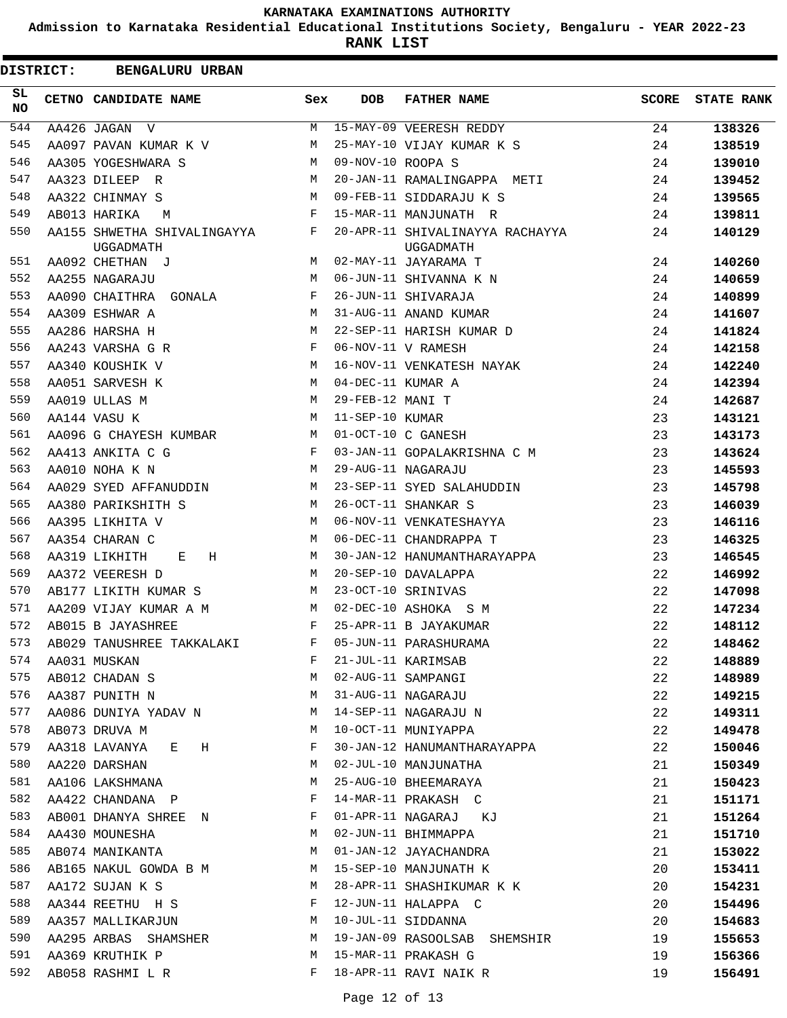**Admission to Karnataka Residential Educational Institutions Society, Bengaluru - YEAR 2022-23**

| <b>DISTRICT:</b> | <b>BENGALURU URBAN</b>                   |              |                   |                                              |       |                   |
|------------------|------------------------------------------|--------------|-------------------|----------------------------------------------|-------|-------------------|
| SL<br><b>NO</b>  | CETNO CANDIDATE NAME                     | Sex          | <b>DOB</b>        | <b>FATHER NAME</b>                           | SCORE | <b>STATE RANK</b> |
| 544              | AA426 JAGAN V                            | M            |                   | 15-MAY-09 VEERESH REDDY                      | 24    | 138326            |
| 545              | AA097 PAVAN KUMAR K V                    | М            |                   | 25-MAY-10 VIJAY KUMAR K S                    | 24    | 138519            |
| 546              | AA305 YOGESHWARA S                       | M            | 09-NOV-10 ROOPA S |                                              | 24    | 139010            |
| 547              | AA323 DILEEP R                           | M            |                   | 20-JAN-11 RAMALINGAPPA METI                  | 24    | 139452            |
| 548              | AA322 CHINMAY S                          | M            |                   | 09-FEB-11 SIDDARAJU K S                      | 24    | 139565            |
| 549              | AB013 HARIKA<br>M                        | F            |                   | 15-MAR-11 MANJUNATH R                        | 24    | 139811            |
| 550              | AA155 SHWETHA SHIVALINGAYYA<br>UGGADMATH | F            |                   | 20-APR-11 SHIVALINAYYA RACHAYYA<br>UGGADMATH | 24    | 140129            |
| 551              | AA092 CHETHAN J                          | M            |                   | 02-MAY-11 JAYARAMA T                         | 24    | 140260            |
| 552              | AA255 NAGARAJU                           | M            |                   | 06-JUN-11 SHIVANNA K N                       | 24    | 140659            |
| 553              | AA090 CHAITHRA GONALA                    | F            |                   | 26-JUN-11 SHIVARAJA                          | 24    | 140899            |
| 554              | AA309 ESHWAR A                           | M            |                   | 31-AUG-11 ANAND KUMAR                        | 24    | 141607            |
| 555              | AA286 HARSHA H                           | М            |                   | 22-SEP-11 HARISH KUMAR D                     | 24    | 141824            |
| 556              | AA243 VARSHA G R                         | F            |                   | 06-NOV-11 V RAMESH                           | 24    | 142158            |
| 557              | AA340 KOUSHIK V<br>$M_{\rm H}$           |              |                   | 16-NOV-11 VENKATESH NAYAK                    | 24    | 142240            |
| 558              | AA051 SARVESH K                          | M            | 04-DEC-11 KUMAR A |                                              | 24    | 142394            |
| 559              | AA019 ULLAS M                            | M            | 29-FEB-12 MANI T  |                                              | 24    | 142687            |
| 560              | AA144 VASU K                             | M            | 11-SEP-10 KUMAR   |                                              | 23    | 143121            |
| 561              | AA096 G CHAYESH KUMBAR                   | M            |                   | 01-OCT-10 C GANESH                           | 23    | 143173            |
| 562              | AA413 ANKITA C G                         | F            |                   | 03-JAN-11 GOPALAKRISHNA C M                  | 23    | 143624            |
| 563              | AA010 NOHA K N                           | М            |                   | 29-AUG-11 NAGARAJU                           | 23    | 145593            |
| 564              | AA029 SYED AFFANUDDIN                    | M            |                   | 23-SEP-11 SYED SALAHUDDIN                    | 23    | 145798            |
| 565              | AA380 PARIKSHITH S                       | M            |                   | 26-OCT-11 SHANKAR S                          | 23    | 146039            |
| 566              | AA395 LIKHITA V                          | M            |                   | 06-NOV-11 VENKATESHAYYA                      | 23    | 146116            |
| 567              | AA354 CHARAN C                           | M            |                   | 06-DEC-11 CHANDRAPPA T                       | 23    | 146325            |
| 568              | AA319 LIKHITH<br>Н<br>Е                  | M            |                   | 30-JAN-12 HANUMANTHARAYAPPA                  | 23    | 146545            |
| 569              | AA372 VEERESH D                          | M            |                   | 20-SEP-10 DAVALAPPA                          | 22    | 146992            |
| 570              | AB177 LIKITH KUMAR S                     | M            |                   | 23-OCT-10 SRINIVAS                           | 22    | 147098            |
| 571              | AA209 VIJAY KUMAR A M                    | M            |                   | 02-DEC-10 ASHOKA S M                         | 22    | 147234            |
| 572              | AB015 B JAYASHREE                        | F            |                   | 25-APR-11 B JAYAKUMAR                        | 22    | 148112            |
| 573              | AB029 TANUSHREE TAKKALAKI                | $\mathbf{F}$ |                   | 05-JUN-11 PARASHURAMA                        | 22    | 148462            |
| 574              | AA031 MUSKAN                             | $\mathbf{F}$ |                   | 21-JUL-11 KARIMSAB                           | 22    | 148889            |
| 575              | AB012 CHADAN S                           | M            |                   | 02-AUG-11 SAMPANGI                           | 22    | 148989            |
| 576              | AA387 PUNITH N                           | M            |                   | 31-AUG-11 NAGARAJU                           | 22    | 149215            |
| 577              | AA086 DUNIYA YADAV N                     | M            |                   | 14-SEP-11 NAGARAJU N                         | 22    | 149311            |
| 578              | AB073 DRUVA M                            | M            |                   | 10-OCT-11 MUNIYAPPA                          | 22    | 149478            |
| 579              | AA318 LAVANYA E H                        | F            |                   | 30-JAN-12 HANUMANTHARAYAPPA                  | 22    | 150046            |
| 580              | AA220 DARSHAN                            | M            |                   | 02-JUL-10 MANJUNATHA                         | 21    | 150349            |
| 581              | AA106 LAKSHMANA                          | M            |                   | 25-AUG-10 BHEEMARAYA                         | 21    | 150423            |
| 582              | AA422 CHANDANA P                         | F            |                   | 14-MAR-11 PRAKASH C                          | 21    | 151171            |
| 583              | AB001 DHANYA SHREE N                     | F            |                   | 01-APR-11 NAGARAJ KJ                         | 21    | 151264            |
| 584              | AA430 MOUNESHA                           | M            |                   | 02-JUN-11 BHIMMAPPA                          | 21    | 151710            |
| 585              | AB074 MANIKANTA                          | M            |                   | 01-JAN-12 JAYACHANDRA                        | 21    | 153022            |
| 586              | AB165 NAKUL GOWDA B M                    | M            |                   | 15-SEP-10 MANJUNATH K                        | 20    | 153411            |
| 587              | AA172 SUJAN K S                          | M            |                   | 28-APR-11 SHASHIKUMAR K K                    | 20    | 154231            |
| 588              | AA344 REETHU H S                         | F            |                   | 12-JUN-11 HALAPPA C                          | 20    | 154496            |
| 589              | AA357 MALLIKARJUN M                      |              |                   | 10-JUL-11 SIDDANNA                           | 20    | 154683            |
| 590              | AA295 ARBAS SHAMSHER                     | M            |                   | 19-JAN-09 RASOOLSAB SHEMSHIR                 | 19    | 155653            |
| 591              | AA369 KRUTHIK P                          | M            |                   | 15-MAR-11 PRAKASH G                          | 19    | 156366            |
| 592              | AB058 RASHMI L R                         | F            |                   | 18-APR-11 RAVI NAIK R                        | 19    | 156491            |
|                  |                                          |              |                   |                                              |       |                   |